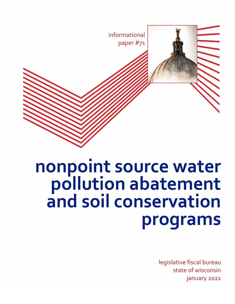

# **nonpoint source water pollution abatement and soil conservation programs**

legislative fiscal bureau state of wisconsin january 2021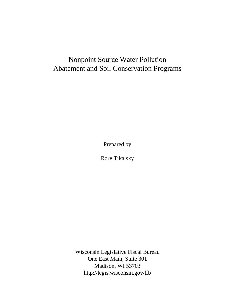# Nonpoint Source Water Pollution Abatement and Soil Conservation Programs

Prepared by

Rory Tikalsky

Wisconsin Legislative Fiscal Bureau One East Main, Suite 301 Madison, WI 53703 [http://legis.wisconsin.gov/lfb](http://legis.wisconsin.gov/lfb/)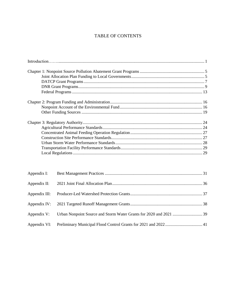## TABLE OF CONTENTS

| Appendix I:   |  |
|---------------|--|
| Appendix II:  |  |
| Appendix III: |  |
|               |  |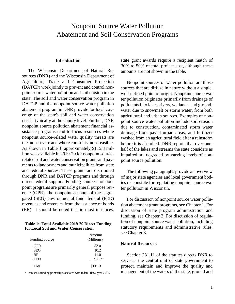# Nonpoint Source Water Pollution Abatement and Soil Conservation Programs

#### **Introduction**

The Wisconsin Department of Natural Resources (DNR) and the Wisconsin Department of Agriculture, Trade and Consumer Protection (DATCP) work jointly to prevent and control nonpoint source water pollution and soil erosion in the state. The soil and water conservation program in DATCP and the nonpoint source water pollution abatement program in DNR provide for local coverage of the state's soil and water conservation needs, typically at the county level. Further, DNR nonpoint source pollution abatement financial assistance programs tend to focus resources where nonpoint source-related water quality threats are the most severe and where control is most feasible. As shown in Table 1, approximately \$115.3 million was available in 2019-20 for nonpoint sourcerelated soil and water conservation grants and payments to landowners and municipalities from state and federal sources. These grants are distributed through DNR and DATCP programs and through direct federal support. Funding sources for nonpoint programs are primarily general purpose revenue (GPR), the nonpoint account of the segregated (SEG) environmental fund, federal (FED) revenues and revenues from the issuance of bonds (BR). It should be noted that in most instances,

**Table 1: Total Available 2019-20 Direct Funding for Local Soil and Water Conservation** 

| <b>Funding Source</b> | Amount<br>(Millions) |
|-----------------------|----------------------|
| <b>GPR</b>            | \$3.0                |
| <b>SEG</b>            | 10.2                 |
| <b>BR</b>             | 11.0                 |
| <b>FED</b>            | $91.1*$              |
| Total                 | \$115.3              |

\*Represents funding primarily associated with federal fiscal year 2019.

state grant awards require a recipient match of 30% to 50% of total project cost, although these amounts are not shown in the table.

Nonpoint sources of water pollution are those sources that are diffuse in nature without a single, well-defined point of origin. Nonpoint source water pollution originates primarily from drainage of pollutants into lakes, rivers, wetlands, and groundwater due to snowmelt or storm water, from both agricultural and urban sources. Examples of nonpoint source water pollution include soil erosion due to construction, contaminated storm water drainage from paved urban areas, and fertilizer washed from an agricultural field after a rainstorm before it is absorbed. DNR reports that over onehalf of the lakes and streams the state considers as impaired are degraded by varying levels of nonpoint source pollution.

The following paragraphs provide an overview of major state agencies and local government bodies responsible for regulating nonpoint source water pollution in Wisconsin.

For discussion of nonpoint source water pollution abatement grant programs, see Chapter 1. For discussion of state program administration and funding, see Chapter 2. For discussion of regulation of nonpoint source water pollution, including statutory requirements and administrative rules, see Chapter 3.

## **Natural Resources**

Section 281.11 of the statutes directs DNR to serve as the central unit of state government to protect, maintain and improve the quality and management of the waters of the state, ground and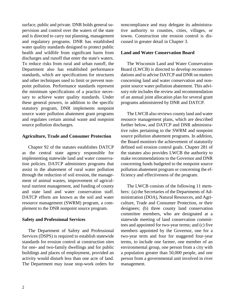surface, public and private. DNR holds general supervision and control over the waters of the state and is directed to carry out planning, management and regulatory programs. DNR has established water quality standards designed to protect public health and wildlife from significant harm from discharges and runoff that enter the state's waters. To reduce risks from rural and urban runoff, the Department also has established performance standards, which are specifications for structures and other techniques used to limit or prevent nonpoint pollution. Performance standards represent the minimum specifications of a practice necessary to achieve water quality standards. Under these general powers, in addition to the specific statutory program, DNR implements nonpoint source water pollution abatement grant programs and regulates certain animal waste and nonpoint source pollution discharges.

#### **Agriculture, Trade and Consumer Protection**

Chapter 92 of the statutes establishes DATCP as the central state agency responsible for implementing statewide land and water conservation policies. DATCP administers programs that assist in the abatement of rural water pollution through the reduction of soil erosion, the management of animal wastes, improvement of agricultural nutrient management, and funding of county and state land and water conservation staff. DATCP efforts are known as the soil and water resource management (SWRM) program, a complement to the DNR nonpoint source program.

#### **Safety and Professional Services**

The Department of Safety and Professional Services (DSPS) is required to establish statewide standards for erosion control at construction sites for one- and two-family dwellings and for public buildings and places of employment, provided an activity would disturb less than one acre of land. The Department may issue stop-work orders for noncompliance and may delegate its administrative authority to counties, cities, villages, or towns. Construction site erosion control is discussed in greater detail in Chapter 3.

#### **Land and Water Conservation Board**

The Wisconsin Land and Water Conservation Board (LWCB) is directed to develop recommendations and to advise DATCP and DNR on matters concerning land and water conservation and nonpoint source water pollution abatement. This advisory role includes the review and recommendation of an annual joint allocation plan for several grant programs administered by DNR and DATCP.

The LWCB also reviews county land and water resource management plans, which are described further below, and DATCP and DNR administrative rules pertaining to the SWRM and nonpoint source pollution abatement programs. In addition, the Board monitors the achievement of statutorily defined soil erosion control goals. Chapter 281 of the statutes also provides LWCB the authority to make recommendations to the Governor and DNR concerning funds budgeted to the nonpoint source pollution abatement program or concerning the efficiency and effectiveness of the program.

The LWCB consists of the following 11 members: (a) the Secretaries of the Departments of Administration (DOA), Natural Resources, and Agriculture, Trade and Consumer Protection, or their designees; (b) three county land conservation committee members, who are designated at a statewide meeting of land conservation committees and appointed for two-year terms; and (c) five members appointed by the Governor, one for a two-year term and four for staggered four-year terms, to include one farmer, one member of an environmental group, one person from a city with a population greater than 50,000 people, and one person from a governmental unit involved in river management.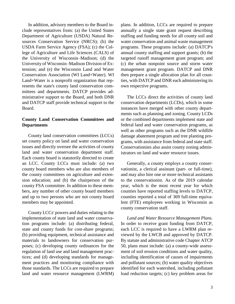In addition, advisory members to the Board include representatives from: (a) the United States Department of Agriculture (USDA) Natural Resources Conservation Service (NRCS); (b) the USDA Farm Service Agency (FSA); (c) the College of Agriculture and Life Sciences (CALS) of the University of Wisconsin–Madison; (d) the University of Wisconsin–Madison Division of Extension; and (e) the Wisconsin Land and Water Conservation Association (WI Land+Water). WI Land+Water is a nonprofit organization that represents the state's county land conservation committees and departments. DATCP provides administrative support to the Board, and both DNR and DATCP staff provide technical support to the Board.

## **County Land Conservation Committees and Departments**

County land conservation committees (LCCs) set county policy on land and water conservation issues and directly oversee the activities of county land and water conservation department staff. Each county board is statutorily directed to create an LCC. County LCCs must include: (a) two county board members who are also members of the county committees on agriculture and extension education; and (b) the chairperson of the county FSA committee. In addition to these members, any number of other county board members and up to two persons who are not county board members may be appointed.

County LCCs' powers and duties relating to the implementation of state land and water conservation programs include: (a) distributing federal, state and county funds for cost-share programs; (b) providing equipment, technical assistance and materials to landowners for conservation purposes; (c) developing county ordinances for the regulation of land use and land management practices; and (d) developing standards for management practices and monitoring compliance with those standards. The LCCs are required to prepare land and water resource management (LWRM) plans. In addition, LCCs are required to prepare annually a single state grant request describing staffing and funding needs for all county soil and water conservation and animal waste management programs. These programs include: (a) DATCP's annual county staffing and support grants; (b) the targeted runoff management grant program; and (c) the urban nonpoint source and storm water management grant program. DATCP and DNR then prepare a single allocation plan for all counties, with DATCP and DNR each administering its own respective programs.

The LCCs direct the activities of county land conservation departments (LCDs), which in some instances have merged with other county departments such as planning and zoning. County LCDs or the combined departments implement state and federal land and water conservation programs, as well as other programs such as the DNR wildlife damage abatement program and tree planting programs, with assistance from federal and state staff. Conservationists also assist county zoning administrators on land and water resource issues.

Generally, a county employs a county conservationist, a clerical assistant (part- or full-time), and may also hire one or more technical assistants to the conservationist. As of the 2019 calendar year, which is the most recent year for which counties have reported staffing levels to DATCP, counties reported a total of 369 full-time equivalent (FTE) employees working in Wisconsin as county conservation staff.

*Land and Water Resource Management Plans*. In order to receive grant funding from DATCP, each LCC is required to have a LWRM plan reviewed by the LWCB and approved by DATCP. By statute and administrative code Chapter ATCP 50, plans must include: (a) a county-wide assessment of soil erosion conditions and water quality, including identification of causes of impairments and pollutant sources; (b) water quality objectives identified for each watershed, including pollutant load reduction targets; (c) key problem areas for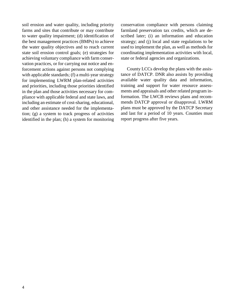soil erosion and water quality, including priority farms and sites that contribute or may contribute to water quality impairment; (d) identification of the best management practices (BMPs) to achieve the water quality objectives and to reach current state soil erosion control goals; (e) strategies for achieving voluntary compliance with farm conservation practices, or for carrying out notice and enforcement actions against persons not complying with applicable standards; (f) a multi-year strategy for implementing LWRM plan-related activities and priorities, including those priorities identified in the plan and those activities necessary for compliance with applicable federal and state laws, and including an estimate of cost-sharing, educational, and other assistance needed for the implementation; (g) a system to track progress of activities identified in the plan; (h) a system for monitoring

conservation compliance with persons claiming farmland preservation tax credits, which are described later; (i) an information and education strategy; and (j) local and state regulations to be used to implement the plan, as well as methods for coordinating implementation activities with local, state or federal agencies and organizations.

County LCCs develop the plans with the assistance of DATCP. DNR also assists by providing available water quality data and information, training and support for water resource assessments and appraisals and other related program information. The LWCB reviews plans and recommends DATCP approval or disapproval. LWRM plans must be approved by the DATCP Secretary and last for a period of 10 years. Counties must report progress after five years.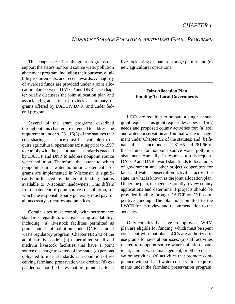## *NONPOINT SOURCE POLLUTION ABATEMENT GRANT PROGRAMS*

This chapter describes the grant programs that support the state's nonpoint source water pollution abatement program, including their purpose, eligibility requirements, and recent awards. A majority of awarded funds are provided under a joint allocation plan between DATCP and DNR. The chapter briefly discusses the joint allocation plan and associated grants, then provides a summary of grants offered by DATCP, DNR, and under federal programs.

Several of the grant programs described throughout this chapter are intended to address the requirement under s. 281.16(3) of the statutes that cost-sharing assistance must be available to require agricultural operations existing prior to 1997 to comply with the performance standards enacted by DATCP and DNR to address nonpoint source water pollution. Therefore, the extent to which nonpoint source water pollution abatement programs are implemented in Wisconsin is significantly influenced by the grant funding that is available to Wisconsin landowners. This differs from abatement of point sources of pollution, for which the responsible party generally must pay for all necessary structures and practices.

Certain sites must comply with performance standards regardless of cost-sharing availability, including: (a) livestock facilities permitted as point sources of pollution under DNR's animal waste regulatory program (Chapter NR 243 of the administrative code); (b) unpermitted small and medium livestock facilities that have a point source discharge to waters of the state; (c) persons obligated to meet standards as a condition of receiving farmland preservation tax credits; (d) expanded or modified sites that are granted a local livestock siting or manure storage permit; and (e) new agricultural operations.

## **Joint Allocation Plan Funding To Local Governments**

LCCs are required to prepare a single annual grant request. This grant request describes staffing needs and proposed county activities for: (a) soil and water conservation and animal waste management under Chapter 92 of the statutes; and (b) financial assistance under s. 281.65 and 281.66 of the statutes for nonpoint source water pollution abatement. Annually, in response to this request, DATCP and DNR award state funds to local units of government and other project cooperators for land and water conservation activities across the state, in what is known as the joint allocation plan. Under the plan, the agencies jointly review county applications and determine if projects should be provided funding through DATCP or DNR competitive funding. The plan is submitted to the LWCB for its review and recommendation to the agencies.

Only counties that have an approved LWRM plan are eligible for funding, which must be spent consistent with that plan. LCCs are authorized to use grants for several purposes: (a) staff activities related to nonpoint source water pollution abatement, animal waste management, or other conservation activities; (b) activities that promote compliance with soil and water conservation requirements under the farmland preservation program;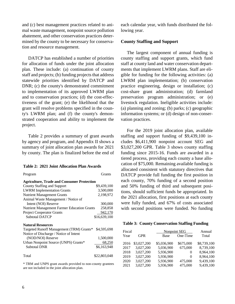and (c) best management practices related to animal waste management, nonpoint source pollution abatement, and other conservation practices determined by the county to be necessary for conservation and resource management.

DATCP has established a number of priorities for allocation of funds under the joint allocation plan. These include: (a) continuation of county staff and projects; (b) funding projects that address statewide priorities identified by DATCP and DNR; (c) the county's demonstrated commitment to implementation of its approved LWRM plan and to conservation practices; (d) the cost-effectiveness of the grant; (e) the likelihood that the grant will resolve problems specified in the county's LWRM plan; and (f) the county's demonstrated cooperation and ability to implement the project.

Table 2 provides a summary of grant awards by agency and program, and Appendix II shows a summary of joint allocation plan awards for 2021 by county. The plan is finalized before the end of

#### **Table 2: 2021 Joint Allocation Plan Awards**

| Program                                            | Grants       |
|----------------------------------------------------|--------------|
| <b>Agriculture, Trade and Consumer Protection</b>  |              |
| County Staffing and Support                        | \$9,439,100  |
| <b>LWRM</b> Implementation Grants                  | 3,500,000    |
| <b>Nutrient Management Grants</b>                  | 2,198,972    |
| Animal Waste Management / Notice of                |              |
| Intent (NOI) Reserve                               | 300,000      |
| <b>Nutrient Management Farmer Education Grants</b> | 258,858      |
| <b>Project Cooperator Grants</b>                   | 942,170      |
| <b>Subtotal DATCP</b>                              | \$16,639,100 |
| <b>Natural Resources</b>                           |              |
| Targeted Runoff Management (TRM) Grants*           | \$4,595,698  |
| Notice of Discharge / Notice of Intent             |              |
| (NOD/NOI) Reserve                                  | 1,500,000    |
| Urban Nonpoint Source (UNPS) Grants*               | 68,250       |
| <b>Subtotal DNR</b>                                | \$6,163,948  |
| Total                                              | \$22,803,048 |

\* TRM and UNPS grant awards provided to non-county grantees are not included in the joint allocation plan.

each calendar year, with funds distributed the following year.

#### **County Staffing and Support**

The largest component of annual funding is county staffing and support grants, which fund staff at county land and water conservation departments that implement LWRM plans. Staff are eligible for funding for the following activities: (a) LWRM plan implementation; (b) conservation practice engineering, design or installation; (c) cost-share grant administration; (d) farmland preservation program administration; or (e) livestock regulation. Ineligible activities include: (a) planning and zoning; (b) parks; (c) geographic information systems; or (d) design of non-conservation practices.

For the 2019 joint allocation plan, available staffing and support funding of \$9,439,100 includes \$6,411,900 nonpoint account SEG and \$3,027,200 GPR. Table 3 shows county staffing funding since 2015-16. Funds are awarded in a tiered process, providing each county a base allocation of \$75,000. Remaining available funding is allocated consistent with statutory directives that DATCP provide full funding the first position in each county, 70% funding of a second position and 50% funding of third and subsequent positions, should sufficient funds be appropriated. In the 2021 allocation, first positions at each county were fully funded, and 67% of costs associated with second positions were funded. No funding

|  | <b>Table 3: County Conservation Staffing Funding</b> |  |
|--|------------------------------------------------------|--|
|  |                                                      |  |

| Fiscal |             |             | <b>Nonpoint SEG</b> | Annual      |
|--------|-------------|-------------|---------------------|-------------|
| Year   | <b>GPR</b>  | Base        | One-Time            | Total       |
| 2016   | \$3,027,200 | \$5,036,900 | \$675,000           | \$8,739,100 |
| 2017   | 3,027,200   | 5,036,900   | 675,000             | 8,739,100   |
| 2018   | 3,027,200   | 5,936,900   | $^{(1)}$            | 8,964,100   |
| 2019   | 3,027,200   | 5,936,900   | 0                   | 8,964,100   |
| 2020   | 3,027,200   | 5,936,900   | 475,000             | 9,439,100   |
| 2021   | 3,027,200   | 5,936,900   | 475,000             | 9,439,100   |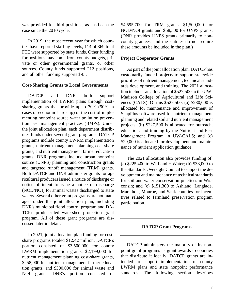was provided for third positions, as has been the case since the 2010 cycle.

In 2019, the most recent year for which counties have reported staffing levels, 114 of 369 total FTE were supported by state funds. Other funding for positions may come from county budgets, private or other governmental grants, or other sources. County funds supported 212 positions, and all other funding supported 43.

#### **Cost-Sharing Grants to Local Governments**

DATCP and DNR both support implementation of LWRM plans through costsharing grants that provide up to 70% (90% in cases of economic hardship) of the cost of implementing nonpoint source water pollution prevention best management practices (BMPs). Under the joint allocation plan, each department distributes funds under several grant programs. DATCP programs include county LWRM implementation grants, nutrient management planning cost-share grants, and nutrient management farmer education grants. DNR programs include urban nonpoint source (UNPS) planning and construction grants and targeted runoff management (TRM) grants. Both DATCP and DNR administer grants for agricultural producers issued a notice of discharge or notice of intent to issue a notice of discharge (NOD/NOI) for animal wastes discharged to state waters. Several other grant programs are not managed under the joint allocation plan, including DNR's municipal flood control program and DA-TCP's producer-led watershed protection grant program. All of these grant programs are discussed later in detail.

In 2021, joint allocation plan funding for costshare programs totaled \$12.42 million. DATCP's portion consisted of \$3,500,000 for county LWRM implementation grants, \$2,199,000 for nutrient management planning cost-share grants, \$258,900 for nutrient management farmer education grants, and \$300,000 for animal waste and NOI grants. DNR's portion consisted of \$4,595,700 for TRM grants, \$1,500,000 for NOD/NOI grants and \$68,300 for UNPS grants. (DNR provides UNPS grants primarily to noncounty grantees, and the statutes do not require these amounts be included in the plan.)

#### **Project Cooperator Grants**

As part of the joint allocation plan, DATCP has customarily funded projects to support statewide priorities of nutrient management, technical standards development, and training. The 2021 allocation includes an allocation of \$527,500 to the UW-Madison College of Agricultural and Life Sciences (CALS). Of this \$527,500: (a) \$280,000 is allocated for maintenance and improvement of SnapPlus software used for nutrient management planning and related soil and nutrient management projects; (b) \$227,500 is allocated for outreach, education, and training by the Nutrient and Pest Management Program in UW-CALS; and (c) \$20,000 is allocated for development and maintenance of nutrient application guidance.

The 2021 allocation also provides funding of: (a) \$225,400 to WI Land + Water; (b) \$38,000 to the Standards Oversight Council to support the development and maintenance of technical standards for soil and water conservation practices in Wisconsin; and (c) \$151,300 to Ashland, Langlade, Marathon, Monroe, and Sauk counties for incentives related to farmland preservation program participation.

#### **DATCP Grant Programs**

DATCP administers the majority of its nonpoint grant programs as grant awards to counties that distribute it locally. DATCP grants are intended to support implementation of county LWRM plans and state nonpoint performance standards. The following section describes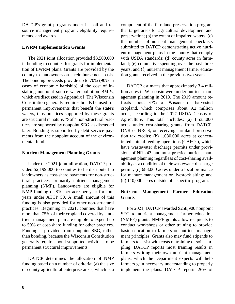DATCP's grant programs under its soil and resource management program, eligibility requirements, and awards.

## **LWRM Implementation Grants**

The 2021 joint allocation provided \$3,500,000 in bonding to counties for grants for implementation of LWRM plans. Grants are provided by the county to landowners on a reimbursement basis. The bonding proceeds provide up to 70% (90% in cases of economic hardship) of the cost of installing nonpoint source water pollution BMPs, which are discussed in Appendix I. The Wisconsin Constitution generally requires bonds be used for permanent improvements that benefit the state's waters, thus practices supported by these grants are structural in nature. "Soft" non-structural practices are supported by nonpoint SEG, as discussed later. Bonding is supported by debt service payments from the nonpoint account of the environmental fund.

## **Nutrient Management Planning Grants**

Under the 2021 joint allocation, DATCP provided \$2,199,000 to counties to be distributed to landowners as cost-share payments for non-structural practices, primarily nutrient management planning (NMP). Landowners are eligible for NMP funding of \$10 per acre per year for four years under ATCP 50. A small amount of this funding is also provided for other non-structural practices. Beginning in 2021, counties that have more than 75% of their cropland covered by a nutrient management plan are eligible to expend up to 50% of cost-share funding for other practices. Funding is provided from nonpoint SEG, rather than bonding, because the Wisconsin Constitution generally requires bond-supported activities to be permanent structural improvements.

DATCP determines the allocation of NMP funding based on a number of criteria: (a) the size of county agricultural enterprise areas, which is a component of the farmland preservation program that target areas for agricultural development and preservation; (b) the extent of impaired waters; (c) the number of nutrient management checklists submitted to DATCP demonstrating active nutrient management plans in the county that comply with USDA standards; (d) county acres in farmland; (e) cumulative spending over the past three years; and (f) nutrient management farmer education grants received in the previous two years.

DATCP estimates that approximately 3.4 million acres in Wisconsin were under nutrient management planning in 2019. The 2019 amount reflects about 37% of Wisconsin's harvested cropland, which comprises about 9.2 million acres, according to the 2017 USDA Census of Agriculture. This total includes: (a) 1,533,000 acres under cost-sharing grants from DATCP, DNR or NRCS, or receiving farmland preservation tax credits; (b) 1,080,000 acres at concentrated animal feeding operations (CAFOs), which have wastewater discharge permits under provisions of NR 243, and must practice nutrient management planning regardless of cost-sharing availability as a condition of their wastewater discharge permit; (c) 683,000 acres under a local ordinance for manure management or livestock siting; and (d) 110,000 acres outside of a specific program.

## **Nutrient Management Farmer Education Grants**

For 2021, DATCP awarded \$258,900 nonpoint SEG to nutrient management farmer education (NMFE) grants. NMFE grants allow recipients to conduct workshops or other training to provide basic education to farmers on nutrient management principles. Grants also may fund stipends to farmers to assist with costs of training or soil sampling. DATCP reports most training results in farmers writing their own nutrient management plans, which the Department expects will help farmers gain necessary understanding to properly implement the plans. DATCP reports 26% of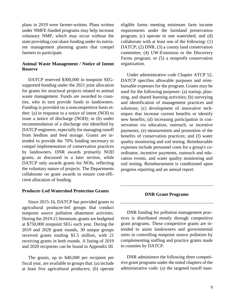plans in 2019 were farmer-written. Plans written under NMFE-funded programs may help increase voluntary NMP, which may occur without the state providing cost-share funding under its nutriaent management planning grants that compel farmers to participate.

## **Animal Waste Management / Notice of Intent Reserve**

DATCP reserved \$300,000 in nonpoint SEGsupported bonding under the 2021 joint allocation for grants for structural projects related to animal waste management. Funds are awarded to counties, who in turn provide funds to landowners. Funding is provided on a noncompetitive basis either: (a) in response to a notice of intent (NOI) to issue a notice of discharge (NOD); or (b) under recommendation of a discharge site identified by DATCP engineers, especially for managing runoff from feedlots and feed storage. Grants are intended to provide the 70% funding necessary to compel implementation of conservation practices by landowners. DNR awards primarily NOD grants, as discussed in a later section, while DATCP only awards grants for NOIs, reflecting the voluntary nature of projects. The Departments collaborate on grant awards to ensure cost-efficient allocation of funding.

#### **Producer-Led Watershed Protection Grants**

Since 2015-16, DATCP has provided grants to agricultural producer-led groups that conduct nonpoint source pollution abatement activities. During the 2019-21 biennium, grants are budgeted at \$750,000 nonpoint SEG each year. During the 2019 and 2020 grant rounds, 30 unique groups received grants totaling \$1.5 million, with 21 receiving grants in both rounds. A listing of 2019 and 2020 recipients can be found in Appendix III.

The grants, up to \$40,000 per recipient per fiscal year, are available to groups that: (a) include at least five agricultural producers; (b) operate eligible farms meeting minimum farm income requirements under the farmland preservation program; (c) operate in one watershed; and (d) collaborate with at least one of the following: (1) DATCP; (2) DNR; (3) a county land conservation committee; (4) UW-Extension or the Discovery Farms program; or (5) a nonprofit conservation organization.

Under administrative code Chapter ATCP 52, DATCP specifies allowable purposes and reimbursable expenses for the program. Grants may be used for the following purposes: (a) startup, planning, and shared learning activities; (b) surveying and identification of management practices and solutions; (c) development of innovative techniques that increase current benefits or identify new benefits; (d) increasing participation in conservation via education, outreach, or incentive payments; (e) measurement and promotion of the benefits of conservation practices; and (f) water quality monitoring and soil testing. Reimbursable expenses include personnel costs for a group's coordinator, incentive payments, outreach and education events, and water quality monitoring and soil testing. Reimbursement is conditioned upon progress reporting and an annual report.

#### **DNR Grant Programs**

DNR funding for pollution management practices is distributed mostly through competitive grant programs. These competitive grants are intended to assist landowners and governmental units in controlling nonpoint source pollution by complementing staffing and practice grants made to counties by DATCP.

DNR administers the following three competitive grant programs under the noted chapters of the administrative code: (a) the targeted runoff man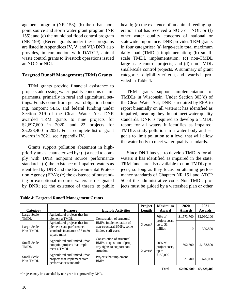agement program (NR 153); (b) the urban nonpoint source and storm water grant program (NR 155); and (c) the municipal flood control program (NR 199). (Recent grants under these programs are listed in Appendices IV, V, and VI.) DNR also provides, in conjunction with DATCP, animal waste control grants to livestock operations issued an NOD or NOI.

## **Targeted Runoff Management (TRM) Grants**

TRM grants provide financial assistance to projects addressing water quality concerns or impairments, primarily in rural and agricultural settings. Funds come from general obligation bonding, nonpoint SEG, and federal funding under Section 319 of the Clean Water Act. DNR awarded TRM grants to nine projects for \$2,697,600 in 2020, and 22 projects for \$5,228,400 in 2021. For a complete list of grant awards in 2021, see Appendix IV.

Grants support pollution abatement in highpriority areas, characterized by: (a) a need to comply with DNR nonpoint source performance standards; (b) the existence of impaired waters as identified by DNR and the Environmental Protection Agency (EPA); (c) the existence of outstanding or exceptional resource waters as designated by DNR; (d) the existence of threats to public health; (e) the existence of an animal feeding operation that has received a NOD or NOI; or (f) other water quality concerns of national or statewide importance. DNR provides TRM grants in four categories: (a) large-scale total maximum daily load (TMDL) implementation; (b) smallscale TMDL implementation; (c) non-TMDL large-scale control projects; and (d) non-TMDL small-scale control projects. A summary of grant categories, eligibility criteria, and awards is provided in Table 4.

TRM grants support implementation of TMDLs in Wisconsin. Under Section 303(d) of the Clean Water Act, DNR is required by EPA to report biennially on all waters it has identified as impaired, meaning they do not meet water quality standards. DNR is required to develop a TMDL report for all waters it identifies as impaired. TMDLs study pollution in a water body and set goals to limit pollution to a level that will allow the water body to meet water quality standards.

Since DNR has yet to develop TMDLs for all waters it has identified as impaired in the state, TRM funds are also available to non-TMDL projects, so long as they focus on attaining performance standards of Chapters NR 151 and ATCP 50 of the administrative code. Non-TMDL projects must be guided by a watershed plan or other

| Category                   | <b>Purpose</b>                                                                                                 | <b>Eligible Activities</b>                                                                           | Project<br>Length   | <b>Maximum</b><br>Award             | 2020<br>Awards | 2021<br>Awards |
|----------------------------|----------------------------------------------------------------------------------------------------------------|------------------------------------------------------------------------------------------------------|---------------------|-------------------------------------|----------------|----------------|
| Large-Scale<br><b>TMDL</b> | Agricultural projects that im-<br>plement a TMDL                                                               | Construction of structural                                                                           |                     | $70%$ of<br>project costs,          | \$1,573,700    | \$2,060,100    |
| Large-Scale<br>Non-TMDL    | Agricultural projects that im-<br>plement state performance<br>standards in an area of 8 to 39<br>square miles | BMPs, implementation of<br>non-structural BMPs, some<br>limited staff costs                          | $3 \text{ years}^*$ | up to $$1$<br>million               | $\Omega$       | 309,500        |
| Small-Scale<br>TMDL        | Agricultural and limited urban<br>nonpoint projects that imple-<br>ment a TMDL                                 | Construction of structural<br>BMPs, acquisition of prop-<br>erty rights to support con-<br>struction | $2$ years*          | $70%$ of<br>project costs,<br>up to | 502,500        | 2.188.800      |
| Small-Scale<br>Non-TMDL    | Agricultural and limited urban<br>projects that implement state<br>performance standards                       | Projects that implement<br><b>BMPs</b>                                                               |                     | \$150,000                           | 621,400        | 670,000        |

**Table 4: Targeted Runoff Management Grants**

\*Projects may be extended by one year, if approved by DNR.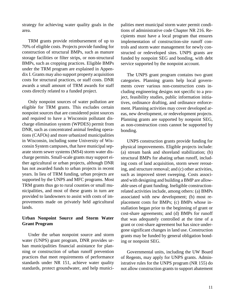strategy for achieving water quality goals in the area.

TRM grants provide reimbursement of up to 70% of eligible costs. Projects provide funding for construction of structural BMPs, such as manure storage facilities or filter strips, or non-structural BMPs, such as cropping practices. Eligible BMPs under the TRM program are explained in Appendix I. Grants may also support property acquisition costs for structural practices, or staff costs. DNR awards a small amount of TRM awards for staff costs directly related to a funded project.

Only nonpoint sources of water pollution are eligible for TRM grants. This excludes certain nonpoint sources that are considered point sources and required to have a Wisconsin pollutant discharge elimination system (WPDES) permit from DNR, such as concentrated animal feeding operations (CAFOs) and more urbanized municipalities in Wisconsin, including some University of Wisconsin System campuses, that have municipal separate storm sewer systems (MS4) storm water discharge permits. Small-scale grants may support either agricultural or urban projects, although DNR has not awarded funds to urban projects in recent years. In lieu of TRM funding, urban projects are supported by the UNPS and MFC programs. Most TRM grants thus go to rural counties or small municipalities, and most of these grants in turn are provided to landowners to assist with costs of improvements made on privately held agricultural lands.

## **Urban Nonpoint Source and Storm Water Grant Program**

Under the urban nonpoint source and storm water (UNPS) grant program, DNR provides urban municipalities financial assistance for planning or construction of urban runoff prevention practices that meet requirements of performance standards under NR 151, achieve water quality standards, protect groundwater, and help municipalities meet municipal storm water permit conditions of administrative code Chapter NR 216. Recipients must have a local program that ensures implementation of construction-site runoff controls and storm water management for newly constructed or redeveloped sites. UNPS grants are funded by nonpoint SEG and bonding, with debt service supported by the nonpoint account.

The UNPS grant program contains two grant categories. Planning grants help local governments cover various non-construction costs including engineering designs not specific to a project, feasibility studies, public information initiatives, ordinance drafting, and ordinance enforcement. Planning activities may cover developed areas, new development, or redevelopment projects. Planning grants are supported by nonpoint SEG, as non-construction costs cannot be supported by bonding.

UNPS construction grants provide funding for physical improvements. Eligible projects include: (a) stream bank and shoreland stabilization; (b) structural BMPs for abating urban runoff, including costs of land acquisition, storm sewer rerouting, and structure removal; and (c) other activities, such as improved street sweeping. Costs associated with designing and building a BMP are allowable uses of grant funding. Ineligible constructionrelated activities include, among others: (a) BMPs associated with new development; (b) most replacement costs for BMPs; (c) BMPs whose installation began prior to the beginning of grant or cost-share agreements; and (d) BMPs for runoff that was adequately controlled at the time of a grant or cost-share agreement but has since undergone significant changes in land use. Construction grants may be funded by general obligation bonding or nonpoint SEG.

Governmental units, including the UW Board of Regents, may apply for UNPS grants. Administrative rules for the UNPS program (NR 155) do not allow construction grants to support abatement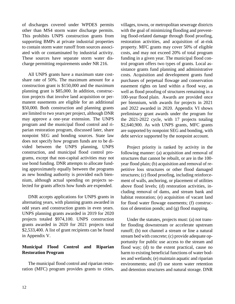of discharges covered under WPDES permits other than MS4 storm water discharge permits. This prohibits UNPS construction grants from supporting BMPs at private industrial properties to contain storm water runoff from sources associated with or contaminated by industrial activity. These sources have separate storm water discharge permitting requirements under NR 216.

All UNPS grants have a maximum state costshare rate of 50%. The maximum amount for a construction grant is \$150,000 and the maximum planning grant is \$85,000. In addition, construction projects that involve land acquisition or permanent easements are eligible for an additional \$50,000. Both construction and planning grants are limited to two years per project, although DNR may approve a one-year extension. The UNPS program and the municipal flood control and riparian restoration program, discussed later, share nonpoint SEG and bonding sources. State law does not specify how program funds are to be divided between the UNPS planning, UNPS construction, and municipal flood control programs, except that non-capital activities may not use bond funding. DNR attempts to allocate funding approximately equally between the programs as new bonding authority is provided each biennium, although actual spending on projects selected for grants affects how funds are expended.

DNR accepts applications for UNPS grants in alternating years, with planning grants awarded in odd years and construction grants in even years. UNPS planning grants awarded in 2019 for 2020 projects totaled \$974,100. UNPS construction grants awarded in 2020 for 2021 projects total \$2,533,400. A list of grant recipients can be found in Appendix V.

## **Municipal Flood Control and Riparian Restoration Program**

The municipal flood control and riparian restoration (MFC) program provides grants to cities, villages, towns, or metropolitan sewerage districts with the goal of minimizing flooding and preventing flood-related damage through flood proofing, restoration activities, and acquisition of at-risk property. MFC grants may cover 50% of eligible costs, and may not exceed 20% of total program funding in a given year. The municipal flood control program offers two types of grants. Local assistance grants fund planning and administrative costs. Acquisition and development grants fund purchases of perpetual flowage and conservation easement rights on land within a flood way, as well as flood proofing of structures remaining in a 100-year flood plain. Awards are provided once per biennium, with awards for projects in 2021 and 2022 awarded in 2020. Appendix VI shows preliminary grant awards under the program for the 2021-2022 cycle, with 17 projects totaling \$2,640,900. As with UNPS grants, MFC grants are supported by nonpoint SEG and bonding, with debt service supported by the nonpoint account.

Project priority is ranked by activity in the following manner: (a) acquisition and removal of structures that cannot be rebuilt, or are in the 100 year flood plain; (b) acquisition and removal of repetitive loss structures or other flood damaged structures; (c) flood proofing, including reinforcement of walls, anchoring, or placement of utilities above flood levels; (d) restoration activities, including removal of dams, and stream bank and habitat restoration; (e) acquisition of vacant land for flood water flowage easements; (f) construction of detention ponds; and (g) flood mapping.

Under the statutes, projects must: (a) not transfer flooding downstream or accelerate upstream runoff; (b) not channel a stream or line a natural stream bed with concrete; (c) provide adequate opportunity for public use access to the stream and flood way; (d) to the extent practical, cause no harm to existing beneficial functions of water bodies and wetlands; (e) maintain aquatic and riparian environments; and (f) use storm water retention and detention structures and natural storage. DNR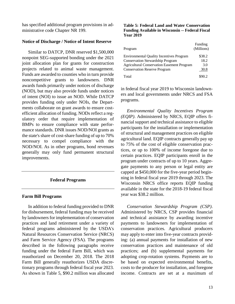has specified additional program provisions in administrative code Chapter NR 199.

#### **Notice of Discharge / Notice of Intent Reserve**

Similar to DATCP, DNR reserved \$1,500,000 nonpoint SEG-supported bonding under the 2021 joint allocation plan for grants for construction projects related to animal waste management. Funds are awarded to counties who in turn provide noncompetitive grants to landowners. DNR awards funds primarily under notices of discharge (NOD), but may also provide funds under notices of intent (NOI) to issue an NOD. While DATCP provides funding only under NOIs, the Departments collaborate on grant awards to ensure costefficient allocation of funding. NODs reflect a regulatory order that require implementation of BMPs to ensure compliance with state performance standards. DNR issues NOD/NOI grants as the state's share of cost-share funding of up to 70% necessary to compel compliance with the NOD/NOI. As in other programs, bond revenues generally may only fund permanent structural improvements.

#### **Federal Programs**

## **Farm Bill Programs**

In addition to federal funding provided to DNR for disbursement, federal funding may be received by landowners for implementation of conservation practices and land retirement under a variety of federal programs administered by the USDA's Natural Resources Conservation Service (NRCS) and Farm Service Agency (FSA). The programs described in the following paragraphs receive funding under the federal Farm Bill, which was reauthorized on December 20, 2018. The 2018 Farm Bill generally reauthorizes USDA discretionary programs through federal fiscal year 2023. As shown in Table 5, \$90.2 million was allocated

#### **Table 5: Federal Land and Water Conservation Funding Available in Wisconsin -- Federal Fiscal Year 2019**

| Program                                           | Funding<br>(Millions) |
|---------------------------------------------------|-----------------------|
| <b>Environmental Quality Incentives Program</b>   | \$38.2                |
| <b>Conservation Stewardship Program</b>           | 18.2                  |
| <b>Agricultural Conservation Easement Program</b> | 3.0                   |
| <b>Conservation Reserve Program</b>               | 30.8                  |
| Total                                             | \$90.2                |

in federal fiscal year 2019 to Wisconsin landowners and local governments under NRCS and FSA programs.

*Environmental Quality Incentives Program (EQIP)*. Administered by NRCS, EQIP offers financial support and technical assistance to eligible participants for the installation or implementation of structural and management practices on eligible agricultural land. EQIP contracts generally pay up to 75% of the cost of eligible conservation practices, or up to 100% of income foregone due to certain practices. EQIP participants enroll in the program under contracts of up to 10 years. Aggregate payments to any person or legal entity are capped at \$450,000 for the five-year period beginning in federal fiscal year 2019 through 2023. The Wisconsin NRCS office reports EQIP funding available in the state for the 2018-19 federal fiscal year was \$38.2 million.

*Conservation Stewardship Program (CSP)*. Administered by NRCS, CSP provides financial and technical assistance by awarding incentive payments to landowners for implementation of conservation practices. Agricultural producers may apply to enter into five-year contracts providing: (a) annual payments for installation of new conservation practices and maintenance of old practices; and (b) supplemental payments for adopting crop-rotation systems. Payments are to be based on expected environmental benefits, costs to the producer for installation, and foregone income. Contracts are set at a maximum of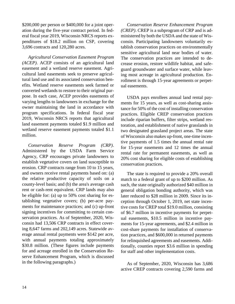\$200,000 per person or \$400,000 for a joint operation during the five-year contract period. In federal fiscal year 2019, Wisconsin NRCS reports expenditures of \$18.2 million on CSP, covering 3,696 contracts and 120,280 acres.

*Agricultural Conservation Easement Program (ACEP)*. ACEP consists of an agricultural land easement and a wetland reserve easement. Agricultural land easements seek to preserve agricultural land use and its associated conservation benefits. Wetland reserve easements seek farmed or converted wetlands to restore to their original purpose. In each case, ACEP provides easements of varying lengths to landowners in exchange for the owner maintaining the land in accordance with program specifications. In federal fiscal year 2019, Wisconsin NRCS reports that agricultural land easement payments totaled \$1.9 million and wetland reserve easement payments totaled \$1.1 million.

*Conservation Reserve Program (CRP)*. Administered by the USDA Farm Service Agency, CRP encourages private landowners to establish vegetative covers on land susceptible to erosion. CRP contracts range from 10 to 15 years, and owners receive rental payments based on: (a) the relative productive capacity of soils on a county-level basis; and (b) the area's average cash rent or cash-rent equivalent. CRP lands may also be eligible for: (a) up to 50% cost sharing for establishing vegetative covers; (b) per-acre payments for maintenance practices; and (c) up-front signing incentives for committing to certain conservation practices. As of September, 2020, Wisconsin had 13,506 CRP contracts in effect covering 8,647 farms and 202,149 acres. Statewide average annual rental payments were \$142 per acre, with annual payments totaling approximately \$30.8 million. (These figures include payments for and acreage enrolled in the Conservation Reserve Enhancement Program, which is discussed in the following paragraphs.)

*Conservation Reserve Enhancement Program (CREP)*. CREP is a subprogram of CRP and is administered by both the USDA and the state of Wisconsin. Participating landowners voluntarily establish conservation practices on environmentally sensitive agricultural land near bodies of water. The conservation practices are intended to decrease erosion, restore wildlife habitat, and safeguard groundwater and surface water, while leaving most acreage in agricultural production. Enrollment is through 15-year agreements or perpetual easements.

USDA pays enrollees annual land rental payments for 15 years, as well as cost-sharing assistance for 50% of the cost of installing conservation practices. Eligible CREP conservation practices include riparian buffers, filter strips, wetland restoration, and establishment of native grasslands in two designated grassland project areas. The state of Wisconsin also makes up-front, one-time incentive payments of 1.5 times the annual rental rate for 15-year easements and 12 times the annual rental rate for permanent easements, as well as 20% cost sharing for eligible costs of establishing conservation practices.

The state is required to provide a 20% overall match to a federal grant of up to \$200 million. As such, the state originally authorized \$40 million in general obligation bonding authority, which was later reduced to \$28 million in 2009. Since its inception through October 1, 2019, net state incentive costs for CREP total \$19.0 million, consisting of \$6.7 million in incentive payments for perpetual easements, \$10.5 million in incentive payments for 15-year agreements, and \$2.4 million in cost-share payments for installation of conservation practices, and \$600,000 in returned payments for relinquished agreements and easements. Additionally, counties report \$3.6 million in spending for staff and other implementation costs.

As of September, 2020, Wisconsin has 3,686 active CREP contracts covering 2,590 farms and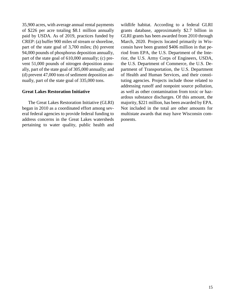35,900 acres, with average annual rental payments of \$226 per acre totaling \$8.1 million annually paid by USDA. As of 2019, practices funded by CREP: (a) buffer 900 miles of stream or shoreline, part of the state goal of 3,700 miles; (b) prevent 94,000 pounds of phosphorus deposition annually, part of the state goal of 610,000 annually; (c) prevent 51,000 pounds of nitrogen deposition annually, part of the state goal of 305,000 annually; and (d) prevent 47,000 tons of sediment deposition annually, part of the state goal of 335,000 tons.

## **Great Lakes Restoration Initiative**

The Great Lakes Restoration Initiative (GLRI) began in 2010 as a coordinated effort among several federal agencies to provide federal funding to address concerns in the Great Lakes watersheds pertaining to water quality, public health and wildlife habitat. According to a federal GLRI grants database, approximately \$2.7 billion in GLRI grants has been awarded from 2010 through March, 2020. Projects located primarily in Wisconsin have been granted \$406 million in that period from EPA, the U.S. Department of the Interior, the U.S. Army Corps of Engineers, USDA, the U.S. Department of Commerce, the U.S. Department of Transportation, the U.S. Department of Health and Human Services, and their constituting agencies. Projects include those related to addressing runoff and nonpoint source pollution, as well as other contamination from toxic or hazardous substance discharges. Of this amount, the majority, \$221 million, has been awarded by EPA. Not included in the total are other amounts for multistate awards that may have Wisconsin components.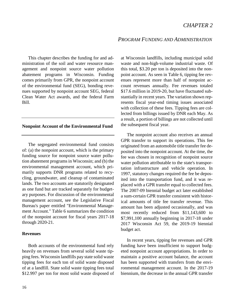## *PROGRAM FUNDING AND ADMINISTRATION*

This chapter describes the funding for and administration of the soil and water resource management and nonpoint source water pollution abatement programs in Wisconsin. Funding comes primarily from GPR, the nonpoint account of the environmental fund (SEG), bonding revenues supported by nonpoint account SEG, federal Clean Water Act awards, and the federal Farm Bill.

#### **Nonpoint Account of the Environmental Fund**

The segregated environmental fund consists of: (a) the nonpoint account, which is the primary funding source for nonpoint source water pollution abatement programs in Wisconsin; and (b) the environmental management account, which primarily supports DNR programs related to recycling, groundwater, and cleanup of contaminated lands. The two accounts are statutorily designated as one fund but are tracked separately for budgetary purposes. For discussion of the environmental management account, see the Legislative Fiscal Bureau's paper entitled "Environmental Management Account." Table 6 summarizes the condition of the nonpoint account for fiscal years 2017-18 through 2020-21.

#### **Revenues**

Both accounts of the environmental fund rely heavily on revenues from several solid waste tipping fees. Wisconsin landfills pay state solid waste tipping fees for each ton of solid waste disposed of at a landfill. State solid waste tipping fees total \$12.997 per ton for most solid waste disposed of at Wisconsin landfills, including municipal solid waste and non-high-volume industrial waste. Of this total, \$3.20 per ton is deposited into the nonpoint account. As seen in Table 6, tipping fee revenues represent more than half of nonpoint account revenues annually. Fee revenues totaled \$17.6 million in 2019-20, but have fluctuated substantially in recent years. The variation shown represents fiscal year-end timing issues associated with collection of these fees. Tipping fees are collected from billings issued by DNR each May. As a result, a portion of billings are not collected until the subsequent fiscal year.

The nonpoint account also receives an annual GPR transfer to support its operations. This fee originated from an automobile title transfer fee deposited into the nonpoint account. At the time, the fee was chosen in recognition of nonpoint source water pollution attributable to the state's transportation infrastructure and vehicle operation. In 1997, statutory changes required the fee be deposited into the transportation fund, and it was replaced with a GPR transfer equal to collected fees. The 2007-09 biennial budget act later established a sum-certain GPR transfer consistent with historical amounts of title fee transfer revenue. This amount has been adjusted occasionally, and was most recently reduced from \$11,143,600 to \$7,991,100 annually beginning in 2017-18 under 2017 Wisconsin Act 59, the 2019-19 biennial budget act.

In recent years, tipping fee revenues and GPR funding have been insufficient to support budgeted nonpoint account appropriations. In order to maintain a positive account balance, the account has been supported with transfers from the environmental management account. In the 2017-19 biennium, the decrease in the annual GPR transfer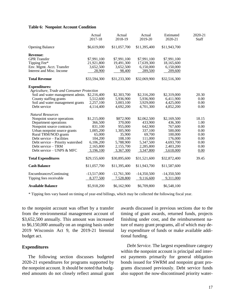#### **Table 6: Nonpoint Account Condition**

|                                              | Actual<br>2017-18 | Actual<br>2018-19 | Actual<br>2019-20 | Estimated<br>2020-21 | 2020-21<br><b>Staff</b> |
|----------------------------------------------|-------------------|-------------------|-------------------|----------------------|-------------------------|
| <b>Opening Balance</b>                       | \$6,619,000       | \$11,057,700      | \$11,395,400      | \$11,943,700         |                         |
| <b>Revenue:</b>                              |                   |                   |                   |                      |                         |
| <b>GPR</b> Transfer                          | \$7,991,100       | \$7,991,100       | \$7,991,100       | \$7,991,100          |                         |
| Tipping Fee*                                 | 21,921,800        | 19,491,300        | 17,639,300        | 18,165,600           |                         |
| Env. Mgmt. Acct. Transfer                    | 3,652,500         | 3,652,500         | 6,150,000         | 6,150,000            |                         |
| Interest and Misc. Income                    | 28,900            | 98,400            | 289,500           | 209,600              |                         |
| <b>Total Revenue</b>                         | \$33,594,300      | \$31,233,300      | \$32,069,900      | \$32,516,300         |                         |
| <b>Expenditures:</b>                         |                   |                   |                   |                      |                         |
| Agriculture, Trade and Consumer Protection   |                   |                   |                   |                      |                         |
| Soil and water management admin. \$2,216,400 |                   | \$2,303,700       | \$2,316,200       | \$2,319,000          | 20.30                   |
| County staffing grants                       | 5,512,600         | 5,936,900         | 5,936,900         | 6,411,900            | 0.00                    |
| Soil and water management grants             | 2,257,100         | 3,003,100         | 3,929,000         | 4,425,000            | 0.00                    |
| Debt service                                 | 4,114,400         | 4,692,200         | 4,701,300         | 4,852,200            | 0.00                    |
| <b>Natural Resources</b>                     |                   |                   |                   |                      |                         |
| Nonpoint source operations                   | \$1,215,000       | \$872,900         | \$2,062,500       | \$2,169,500          | 18.15                   |
| Department operations                        | 366,500           | 370,000           | 433,900           | 436,300              | 1.00                    |
| Nonpoint source contracts                    | 831,100           | 955,000           | 642,900           | 767,600              | 0.00                    |
| Urban nonpoint source grants                 | 1,005,200         | 1,305,900         | 337,100           | 500,000              | 0.00                    |
| Rural TRM/NOD grants                         | 65,000            | 35,900            | 69,700            | 100,000              | 0.00                    |
| Debt service - Facilities                    | 104,200           | 108,100           | 111,000           | 176,000              | 0.00                    |
| Debt service – Priority watershed            | 6,106,200         | 5,788,900         | 5,347,500         | 4,693,700            | 0.00                    |
| Debt service - TRM                           | 2,165,800         | 2,155,700         | 2,285,800         | 2,403,200            | 0.00                    |
| Debt service - UNPS & MFC                    | 3,196,100         | 3,367,300         | 3,347,800         | 3,618,000            | 0.00                    |
| <b>Total Expenditures</b>                    | \$29,155,600      | \$30,895,600      | \$31,521,600      | \$32,872,400         | 39.45                   |
| <b>Cash Balance</b>                          | \$11,057,700      | \$11,395,400      | \$11,943,700      | \$11,587,600         |                         |
| Encumbrances/Continuing                      | $-13,517,000$     | $-12,761,300$     | $-14,350,500$     | $-14,350,500$        |                         |
| Tipping fees receivable                      | 8,377,500         | 7,528,800         | 9,116,600         | 9,311,000            |                         |
| <b>Available Balance</b>                     | \$5,918,200       | \$6,162,900       | \$6,709,800       | \$6,548,100          |                         |

\* Tipping fees vary based on timing of year-end billings, which may be collected the following fiscal year.

to the nonpoint account was offset by a transfer from the environmental management account of \$3,652,500 annually. This amount was increased to \$6,150,000 annually on an ongoing basis under 2019 Wisconsin Act 9, the 2019-21 biennial budget act.

#### **Expenditures**

The following section discusses budgeted 2020-21 expenditures for programs supported by the nonpoint account. It should be noted that budgeted amounts do not closely reflect annual grant awards discussed in previous sections due to the timing of grant awards, returned funds, projects finishing under cost, and the reimbursement nature of many grant programs, all of which may delay expenditure of funds or make available additional funding.

*Debt Service.* The largest expenditure category within the nonpoint account is principal and interest payments primarily for general obligation bonds issued for SWRM and nonpoint grant programs discussed previously. Debt service funds also support the now-discontinued priority water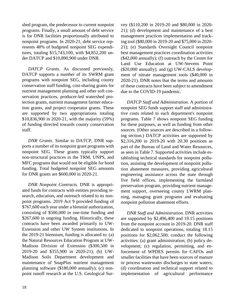shed program, the predecessor to current nonpoint programs. Finally, a small amount of debt service is for DNR facilities proportionally attributed to nonpoint programs. In 2020-21, debt service represents 48% of budgeted nonpoint SEG expenditures, totaling \$15,743,100, with \$4,852,200 under DATCP and \$10,890,900 under DNR.

*DATCP Grants*. As discussed previously, DATCP supports a number of its SWRM grant programs with nonpoint SEG, including county conservation staff funding, cost-sharing grants for nutrient management planning and other soft conservation practices, producer-led watershed protection grants, nutrient management farmer education grants, and project cooperator grants. These are supported by two appropriations totaling \$10,836,900 in 2020-21, with the majority (59%) of funding directed towards county conservation staff.

*DNR Grants.* Similar to DATCP, DNR supports a number of its nonpoint grant programs with nonpoint SEG. These grants typically support non-structural practices in the TRM, UNPS, and MFC programs that would not be eligible for bond funding. Total budgeted nonpoint SEG amounts for DNR grants are \$600,000 in 2020-21.

*DNR Nonpoint Contracts.* DNR is appropriated funds for contracts with entities providing research, education, and outreach related to its nonpoint programs. 2019 Act 9 provided funding of \$767,600 each year under a biennial authorization, consisting of \$500,000 in one-time funding and \$267,600 in ongoing funding. Historically, these contracts have been awarded primarily to UW-Extension and other UW System institutions. In the 2019-21 biennium, funding is allocated to: (a) the Natural Resources Education Program at UW-Madison Division of Extension (\$300,500 in 2019-20 and \$355,900 in 2020-21); (b) UW-Madison Soils Department development and maintenance of SnapPlus nutrient management planning software (\$180,000 annually); (c) nonpoint runoff research at the U.S. Geological Survey (\$110,200 in 2019-20 and \$80,000 in 2020- 21); (d) development and maintenance of a best management practices implementation and tracking tool (\$80,000 in 2019-20 and \$75,000 in 2020- 21); (e) Standards Oversight Council nonpoint best management practices coordination activities (\$42,000 annually); (f) outreach by the Center for Land Use Education at UW-Stevens Point (\$20,000 annually); and (g) UW-CALS development of nitrate management tools (\$40,000 in 2020-21). DNR notes that the terms and amounts of these contracts have been subject to amendment due to the COVID-19 pandemic.

*DATCP Staff and Administration.* A portion of nonpoint SEG funds support staff and administrative costs related to each department's nonpoint programs. Table 7 shows nonpoint SEG funding for these purposes, as well as funding from other sources. (Other sources are described in a following section.) DATCP activities are supported by \$2,316,200 in 2019-20 with 20.30 positions as part of the Bureau of Land and Water Resources, as seen in Table 7. Supported activities include establishing technical standards for nonpoint pollution, assisting the development of nonpoint pollution abatement measures, providing agricultural engineering assistance across the state through five field offices, implementing the farmland preservation program, providing nutrient management support, overseeing county LWRM planning, managing grant programs and evaluating nonpoint pollution abatement efforts.

*DNR Staff and Administration.* DNR activities are supported by \$2,496,400 and 19.15 positions from the nonpoint account in 2019-20. DNR staff dedicated to nonpoint operations, totaling 18.15 positions for \$2,062,500, conduct the following activities: (a) grant administration; (b) policy development; (c) regulation, permitting, and enforcement of WPDES permits for CAFOs and smaller facilities that have been sources of manure or process wastewater discharges to state waters; (d) coordination and technical support related to implementation of agricultural performance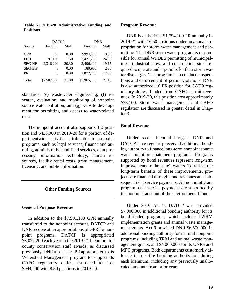|                | <b>DATCP</b> |       | DNR         |       |
|----------------|--------------|-------|-------------|-------|
| Source         | Funding      | Staff | Funding     | Staff |
| <b>GPR</b>     | \$0          | 0.00  | \$994,400   | 8.50  |
| <b>FED</b>     | 191,100      | 1.50  | 2,421,200   | 24.00 |
| <b>SEG-NP</b>  | 2,316,200    | 20.30 | 2,496,400   | 19.15 |
| <b>SEG-EIF</b> | 0            | 0.00  | 180,900     | 2.00  |
| <b>PR</b>      | 0            | 0.00  | 1,872,200   | 17.50 |
| Total          | \$2,507,300  | 21.80 | \$7,965,100 | 71.15 |

**Table 7: 2019-20 Administrative Funding and Positions**

standards; (e) wastewater engineering; (f) research, evaluation, and monitoring of nonpoint source water pollution; and (g) website development for permitting and access to water-related data.

The nonpoint account also supports 1.0 position and \$433,900 in 2019-20 for a portion of departmentwide activities attributable to nonpoint programs, such as legal services, finance and auditing, administrative and field services, data processing, information technology, human resources, facility rental costs, grant management, licensing, and public information.

#### **Other Funding Sources**

#### **General Purpose Revenue**

In addition to the \$7,991,100 GPR annually transferred to the nonpoint account, DATCP and DNR receive other appropriations of GPR for nonpoint programs. DATCP is appropriated \$3,027,200 each year in the 2019-21 biennium for county conservation staff awards, as discussed previously. DNR also uses GPR appropriated to its Watershed Management program to support its CAFO regulatory duties, estimated to cost \$994,400 with 8.50 positions in 2019-20.

#### **Program Revenue**

DNR is authorized \$1,794,100 PR annually in 2019-21 with 16.50 positions under an annual appropriation for storm water management and permitting. The DNR storm water program is responsible for annual WPDES permitting of municipalities, industrial sites, and construction sites required to operate under permits for their storm water discharges. The program also conducts inspections and enforcement of permit violations. DNR is also authorized 1.0 PR position for CAFO regulatory duties, funded from CAFO permit revenues. In 2019-20, this position cost approximately \$78,100. Storm water management and CAFO regulation are discussed in greater detail in Chapter 3.

#### **Bond Revenue**

Under recent biennial budgets, DNR and DATCP have regularly received additional bonding authority to finance long-term nonpoint source water pollution abatement programs. Programs supported by bond revenues represent long-term improvements to the state's waters. To reflect the long-term benefits of these improvements, projects are financed through bond revenues and subsequent debt service payments. All nonpoint grant program debt service payments are supported by the nonpoint account of the environmental fund.

Under 2019 Act 9, DATCP was provided \$7,000,000 in additional bonding authority for its bond-funded programs, which include LWRM implementation grants and animal waste management grants. Act 9 provided DNR \$6,500,000 in additional bonding authority for its rural nonpoint programs, including TRM and animal waste management grants, and \$4,000,000 for its UNPS and MFC programs. Both departments customarily allocate their entire bonding authorization during each biennium, including any previously unallocated amounts from prior years.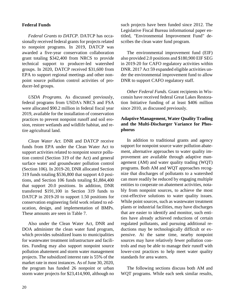#### **Federal Funds**

*Federal Grants to DATCP.* DATCP has occasionally received federal grants for projects related to nonpoint programs. In 2019, DATCP was awarded a five-year conservation collaboration grant totaling \$342,400 from NRCS to provide technical support to producer-led watershed groups. In 2020, DATCP received \$31,600 from EPA to support regional meetings and other nonpoint source pollution control activities of producer-led groups.

*USDA Programs.* As discussed previously, federal programs from USDA's NRCS and FSA were allocated \$90.2 million in federal fiscal year 2019, available for the installation of conservation practices to prevent nonpoint runoff and soil erosion, restore wetlands and wildlife habitat, and retire agricultural land.

*Clean Water Act.* DNR and DATCP receive funds from EPA under the Clean Water Act to support activities related to nonpoint source pollution control (Section 319 of the Act) and general surface water and groundwater pollution control (Section 106). In 2019-20, DNR allocated Section 319 funds totaling \$536,800 that support 4.0 positions, and Section 106 funds totaling \$1,884,400 that support 20.0 positions. In addition, DNR transferred \$191,100 in Section 319 funds to DATCP in 2019-20 to support 1.50 positions for conservation engineering field work related to education, design, and implementation of BMPs. These amounts are seen in Table 7.

Also under the Clean Water Act, DNR and DOA administer the clean water fund program, which provides subsidized loans to municipalities for wastewater treatment infrastructure and facilities. Funding may also support nonpoint source pollution abatement and storm water management projects. The subsidized interest rate is 55% of the market rate in most instances. As of June 30, 2020, the program has funded 26 nonpoint or urban storm water projects for \$23,414,900, although no

such projects have been funded since 2012. The Legislative Fiscal Bureau informational paper entitled, "Environmental Improvement Fund" describes the clean water fund program.

The environmental improvement fund (EIF) also provided 2.0 positions and \$180,900 EIF SEG in 2019-20 for CAFO regulatory activities within DNR. 2017 Act 59 expanded eligible activities under the environmental improvement fund to allow DNR to support CAFO regulatory staff.

*Other Federal Funds.* Grant recipients in Wisconsin have received federal Great Lakes Restoration Initiative funding of at least \$406 million since 2010, as discussed previously.

## **Adaptive Management, Water Quality Trading and the Multi-Discharger Variance for Phosphorus**

In addition to traditional grants and agency support for nonpoint source water pollution abatement, alternative approaches to water quality improvement are available through adaptive management (AM) and water quality trading (WQT) programs. Both AM and WQT approaches recognize that discharges of pollutants to a watershed can more readily be reduced by engaging multiple entities to cooperate on abatement activities, notably from nonpoint sources, to achieve the most cost-effective solutions to water quality issues. While point sources, such as wastewater treatment plants or industrial facilities, may have discharges that are easier to identify and monitor, such entities have already achieved reductions of certain regulated pollutants, and pursuing additional reductions may be technologically difficult or expensive. At the same time, nearby nonpoint sources may have relatively fewer pollution controls and may be able to manage their runoff with lower-cost practices to help meet water quality standards for area waters.

The following sections discuss both AM and WQT programs. While each seek similar results,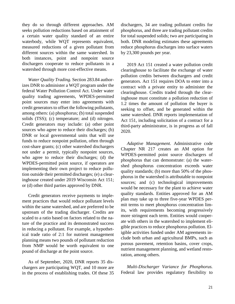they do so through different approaches. AM seeks pollution reductions based on attainment of a certain water quality standard of an entire waterbody, while WQT represents equivalent, measured reductions of a given pollutant from different sources within the same watershed. In both instances, point and nonpoint source dischargers cooperate to reduce pollutants in a watershed through more cost-effective means.

*Water Quality Trading.* Section 283.84 authorizes DNR to administer a WQT program under the federal Water Pollution Control Act. Under water quality trading agreements, WPDES-permitted point sources may enter into agreements with credit generators to offset the following pollutants, among others: (a) phosphorus; (b) total suspended solids (TSS); (c) temperature; and (d) nitrogen. Credit generators may include: (a) other point sources who agree to reduce their discharges; (b) DNR or local governmental units that will use funds to reduce nonpoint pollution, often through cost-share grants; (c) other watershed dischargers not under a permit, typically nonpoint sources, who agree to reduce their discharges; (d) the WPDES-permitted point source, if operators are implementing their own project to reduce pollution outside their permitted discharges; (e) a clearinghouse created under 2019 Wisconsin Act 151; or (d) other third parties approved by DNR.

Credit generators receive payments to implement practices that would reduce pollutant levels within the same watershed, and are preferred to be upstream of the trading discharger. Credits are scaled to a ratio based on factors related to the nature of the practice and its demonstrated success in reducing a pollutant. For example, a hypothetical trade ratio of 2:1 for nutrient management planning means two pounds of pollutant reduction from NMP would be worth equivalent to one pound of discharge at the point source.

As of September, 2020, DNR reports 35 dischargers are participating WQT, and 10 more are in the process of establishing trades. Of these 35 dischargers, 34 are trading pollutant credits for phosphorus, and three are trading pollutant credits for total suspended solids; two are participating in both. DNR modeling estimates these agreements reduce phosphorus discharges into surface waters by 23,300 pounds per year.

2019 Act 151 created a water pollution credit clearinghouse to facilitate the exchange of water pollution credits between dischargers and credit generators. Act 151 requires DOA to enter into a contract with a private entity to administer the clearinghouse. Credits traded through the clearinghouse must constitute a pollution reduction of 1.2 times the amount of pollution the buyer is seeking to offset, and be generated within the same watershed. DNR reports implementation of Act 151, including solicitation of a contract for a third-party administrator, is in progress as of fall 2020.

*Adaptive Management*. Administrative code Chapter NR 217 creates an AM option for WPDES-permitted point source dischargers of phosphorus that can demonstrate: (a) the watershed phosphorus concentration exceeds water quality standards; (b) more than 50% of the phosphorus in the watershed is attributable to nonpoint sources; and (c) technological improvements would be necessary for the plant to achieve water quality standards. Entities approved for an AM plan may take up to three five-year WPDES permit terms to meet phosphorus concentration limits, with requirements becoming progressively more stringent each term. Entities would cooperate with others in the watershed to implement eligible practices to reduce phosphorus pollution. Eligible activities funded under AM agreements include both urban and agricultural BMPs, such as porous pavement, retention basins, cover crops, nutrient management planning, and wetland restoration, among others.

*Multi-Discharger Variance for Phosphorus.* Federal law provides regulatory flexibility to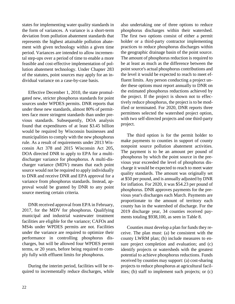states for implementing water quality standards in the form of variances. A variance is a short-term deviation from pollution abatement standards that represents the highest attainable pollution abatement with given technology within a given time period. Variances are intended to allow incremental step-ups over a period of time to enable a more feasible and cost-effective implementation of pollution abatement technology. Under Chapter 283 of the statutes, point sources may apply for an individual variance on a case-by-case basis.

Effective December 1, 2010, the state promulgated new, stricter phosphorus standards for point sources under WPDES permits. DNR reports that under these new standards, almost 80% of permittees face more stringent standards than under previous standards. Subsequently, DOA analysis found that expenditures of at least \$3.45 billion would be required by Wisconsin businesses and municipalities to comply with the new phosphorus rule. As a result of requirements under 2013 Wisconsin Act 378 and 2015 Wisconsin Act 205, DOA directed DNR to apply to EPA for a multidischarger variance for phosphorus. A multi-discharger variance (MDV) means that each point source would not be required to apply individually to DNR and receive DNR and EPA approval for a variance from phosphorus standards. Instead, approval would be granted by DNR to any point source meeting certain criteria.

DNR received approval from EPA in February, 2017, for the MDV for phosphorus. Qualifying municipal and industrial wastewater treatment facilities are eligible for the variance; CAFOs and MS4s under WPDES permits are not. Facilities under the variance are required to optimize their performance in controlling phosphorus discharges, but will be allowed four WPDES permit terms, or 20 years, before being required to comply fully with effluent limits for phosphorus.

During the interim period, facilities will be required to incrementally reduce discharges, while also undertaking one of three options to reduce phosphorus discharges within their watershed. The first two options consist of either a permit holder or a third-party contractor implementing practices to reduce phosphorus discharges within the geographic drainage basin of the point source. The amount of phosphorus reduction is required to be at least as much as the difference between the point source's actual phosphorus contributions and the level it would be expected to reach to meet effluent limits. Any person conducting a project under these options must report annually to DNR on the estimated phosphorus reductions achieved by the project. If the project is shown not to effectively reduce phosphorus, the project is to be modified or terminated. For 2020, DNR reports three permittees selected the watershed project option, with two self-directed projects and one third-party project.

The third option is for the permit holder to make payments to counties in support of county nonpoint source pollution abatement activities. The payment is to be an amount per pound of phosphorus by which the point source in the previous year exceeded the level of phosphorus discharge it would be expected to reach to meet water quality standards. The amount was originally set at \$50 per pound, and is annually adjusted by DNR for inflation. For 2020, it was \$54.23 per pound of phosphorus. DNR approves payments for the previous year's discharges each March. Payments are proportionate to the amount of territory each county has in the watershed of discharge. For the 2019 discharge year, 34 counties received payments totaling \$938,100, as seen in Table 8.

Counties must develop a plan for funds they receive. The plan must: (a) be consistent with the county LWRM plan; (b) include measures to ensure project completion and evaluation; and (c) identify projects or watersheds with the greatest potential to achieve phosphorus reductions. Funds received by counties may support: (a) cost-sharing projects to reduce phosphorus at agricultural facilities; (b) staff to implement such projects; or (c)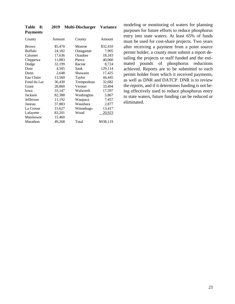| County         | Amount  | County      | Amount    |
|----------------|---------|-------------|-----------|
| Brown          | \$5,470 | Monroe      | \$32,410  |
| <b>Buffalo</b> | 24,182  | Outagamie   | 7,905     |
| Calumet        | 17,636  | Ozaukee     | 18,183    |
| Chippewa       | 11,883  | Pierce      | 40,060    |
| Dodge          | 32,199  | Racine      | 8,724     |
| Door           | 4,505   | Sauk        | 129,114   |
| Dunn           | 2,648   | Shawano     | 17,425    |
| Eau Claire     | 13,560  | Taylor      | 44,445    |
| Fond du Lac    | 36,430  | Trempealeau | 32,682    |
| Grant          | 28,860  | Vernon      | 33,494    |
| Iowa           | 33,147  | Walworth    | 17,597    |
| Jackson        | 82.388  | Washington  | 5,867     |
| Jefferson      | 11,192  | Waupaca     | 7,457     |
| Juneau         | 37,883  | Waushara    | 2,877     |
| La Crosse      | 15,627  | Winnebago   | 13,417    |
| Lafayette      | 83,201  | Wood        | 20,923    |
| Manitowoc      | 15,460  |             |           |
| Marathon       | 49,268  | Total       | \$938,119 |
|                |         |             |           |

**Table 8: 2019 Multi-Discharger Variance Payments** 

modeling or monitoring of waters for planning purposes for future efforts to reduce phosphorus entry into state waters. At least 65% of funds must be used for cost-share projects. Two years after receiving a payment from a point source permit holder, a county must submit a report detailing the projects or staff funded and the estimated pounds of phosphorus reductions achieved. Reports are to be submitted to each permit holder from which it received payments, as well as DNR and DATCP. DNR is to review the reports, and if it determines funding is not being effectively used to reduce phosphorus entry to state waters, future funding can be reduced or eliminated.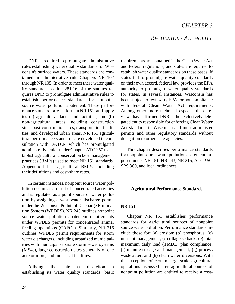## *CHAPTER 3*

## *REGULATORY AUTHORITY*

DNR is required to promulgate administrative rules establishing water quality standards for Wisconsin's surface waters. These standards are contained in administrative rule Chapters NR 102 through NR 105. In order to meet these water quality standards, section 281.16 of the statutes requires DNR to promulgate administrative rules to establish performance standards for nonpoint source water pollution abatement. These performance standards are set forth in NR 151, and apply to: (a) agricultural lands and facilities; and (b) non-agricultural areas including construction sites, post-construction sites, transportation facilities, and developed urban areas. NR 151 agricultural performance standards are developed in consultation with DATCP, which has promulgated administrative rules under Chapter ATCP 50 to establish agricultural conservation best management practices (BMPs) used to meet NR 151 standards. Appendix I lists agricultural BMPs, including their definitions and cost-share rates.

In certain instances, nonpoint source water pollution occurs as a result of concentrated activities and is regulated as a point source of water pollution by assigning a wastewater discharge permit under the Wisconsin Pollutant Discharge Elimination System (WPDES). NR 243 outlines nonpoint source water pollution abatement requirements under WPDES permits for concentrated animal feeding operations (CAFOs). Similarly, NR 216 outlines WPDES permit requirements for storm water dischargers, including urbanized municipalities with municipal separate storm sewer systems (MS4s), large construction sites generally of one acre or more, and industrial facilities.

Although the state has discretion in establishing its water quality standards, basic requirements are contained in the Clean Water Act and federal regulations, and states are required to establish water quality standards on these bases. If states fail to promulgate water quality standards on their own accord, federal law provides the EPA authority to promulgate water quality standards for states. In several instances, Wisconsin has been subject to review by EPA for noncompliance with federal Clean Water Act requirements. Among other more technical aspects, these reviews have affirmed DNR is the exclusively delegated entity responsible for enforcing Clean Water Act standards in Wisconsin and must administer permits and other regulatory standards without delegation to other state agencies.

This chapter describes performance standards for nonpoint source water pollution abatement imposed under NR 151, NR 243, NR 216, ATCP 50, SPS 360, and local ordinances.

#### **Agricultural Performance Standards**

#### **NR 151**

Chapter NR 151 establishes performance standards for agricultural sources of nonpoint source water pollution. Performance standards include those for: (a) erosion; (b) phosphorus; (c) nutrient management; (d) tillage setback; (e) total maximum daily load (TMDL) plan compliance; (f) manure storage and management; (g) process wastewater; and (h) clean water diversions. With the exception of certain large-scale agricultural operations discussed later, agricultural sources of nonpoint pollution are entitled to receive a cost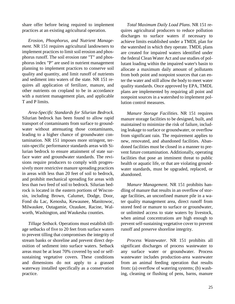share offer before being required to implement practices at an existing agricultural operation.

*Erosion, Phosphorus, and Nutrient Management*. NR 151 requires agricultural landowners to implement practices to limit soil erosion and phosphorus runoff. The soil erosion rate "T" and phosphorus index "P" are used in nutrient management planning to implement practices to conserve soil quality and quantity, and limit runoff of nutrients and sediment into waters of the state. NR 151 requires all application of fertilizer, manure, and other nutrients on cropland to be in accordance with a nutrient management plan, and applicable T and P limits.

*Area-Specific Standards for Silurian Bedrock.* Silurian bedrock has been found to allow rapid transport of contaminants from surface to groundwater without attenuating those contaminants, leading to a higher chance of groundwater contamination. NR 151 imposes more stringent, terrain-specific performance standards areas with Silurian bedrock to ensure attainment of state surface water and groundwater standards. The revisions require producers to comply with progressively more restrictive manure spreading practices in areas with less than 20 feet of soil to bedrock, and prohibit mechanical spreading for areas with less than two feed of soil to bedrock. Silurian bedrock is located in the eastern portions of Wisconsin, including Brown, Calumet, Dodge, Door, Fond du Lac, Kenosha, Kewaunee, Manitowoc, Milwaukee, Outagamie, Ozaukee, Racine, Walworth, Washington, and Waukesha counties.

*Tillage Setback*. Operations must establish tillage setbacks of five to 20 feet from surface waters to prevent tilling that compromises the integrity of stream banks or shoreline and prevent direct deposition of sediment into surface waters. Setback areas must be at least 70% covered by sod or selfsustaining vegetative covers. These conditions and dimensions do not apply to a grassed waterway installed specifically as a conservation practice.

*Total Maximum Daily Load Plans*. NR 151 requires agricultural producers to reduce pollution discharges to surface waters if necessary to achieve limits established under a TMDL plan for the watershed in which they operate. TMDL plans are created for impaired waters identified under the federal Clean Water Act and use studies of pollutant loading within the impaired water's basin to allocate a maximum daily amount of pollutants from both point and nonpoint sources that can enter the water and still allow the body to meet water quality standards. Once approved by EPA, TMDL plans are implemented by requiring all point and nonpoint sources in a watershed to implement pollution control measures.

*Manure Storage Facilities*. NR 151 requires manure storage facilities to be designed, built, and maintained to minimize the risk of failure, including leakage to surface or groundwater, or overflow from significant rain. The requirement applies to new, renovated, and abandoned facilities. Abandoned facilities must be closed in a manner to prevent future contamination. Additionally, operating facilities that pose an imminent threat to public health or aquatic life, or that are violating groundwater standards, must be upgraded, replaced, or abandoned.

*Manure Management*. NR 151 prohibits handling of manure that results in an overflow of storage facilities, an unconfined manure pile in a water quality management area, direct runoff from stored feed or manure to surface or groundwater, or unlimited access to state waters by livestock, when animal concentrations are high enough to prevent self-sustaining vegetative cover to prevent runoff and preserve shoreline integrity.

*Process Wastewater*. NR 151 prohibits all significant discharges of process wastewater to any surface water or groundwater. Process wastewater includes production-area wastewater from an animal feeding operation that results from: (a) overflow of watering systems; (b) washing, cleaning or flushing of pens, barns, manure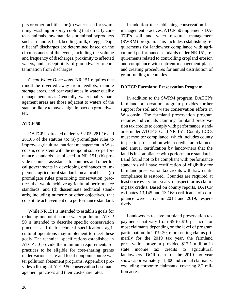pits or other facilities; or (c) water used for swimming, washing or spray cooling that directly contacts animals, raw materials or animal byproducts such as manure, feed, bedding, milk, or eggs. "Significant" discharges are determined based on the circumstances of the event, including the volume and frequency of discharges, proximity to affected waters, and susceptibility of groundwater to contamination from discharges.

*Clean Water Diversions*. NR 151 requires that runoff be diverted away from feedlots, manure storage areas, and barnyard areas in water quality management areas. Generally, water quality management areas are those adjacent to waters of the state or likely to have a high impact on groundwater.

## **ATCP 50**

DATCP is directed under ss. 92.05, 281.16 and 281.65 of the statutes to: (a) promulgate rules to improve agricultural nutrient management in Wisconsin, consistent with the nonpoint source performance standards established in NR 151; (b) provide technical assistance to counties and other local governments in developing ordinances to implement agricultural standards on a local basis; (c) promulgate rules prescribing conservation practices that would achieve agricultural performance standards; and (d) disseminate technical standards, including numeric or other objectives, that constitute achievement of a performance standard.

While NR 151 is intended to establish goals for reducing nonpoint source water pollution, ATCP 50 is intended to describe specific conservation practices and their technical specifications agricultural operations may implement to meet these goals. The technical specifications established in ATCP 50 provide the minimum requirements for practices to be eligible for cost-sharing grants under various state and local nonpoint source water pollution abatement programs. Appendix I provides a listing of ATCP 50 conservation best management practices and their cost-share rates.

In addition to establishing conservation best management practices, ATCP 50 implements DA-TCP's soil and water resource management (SWRM) program. This includes establishing requirements for landowner compliance with agricultural performance standards under NR 151, requirements related to controlling cropland erosion and compliance with nutrient management plans, and creating procedures for annual distribution of grant funding to counties.

## **DATCP Farmland Preservation Program**

In addition to the SWRM program, DATCP's farmland preservation program provides further support for soil and water conservation efforts in Wisconsin. The farmland preservation program requires individuals claiming farmland preservation tax credits to comply with performance standards under ATCP 50 and NR 151. County LCCs must monitor compliance, which includes county inspections of land on which credits are claimed, and annual certification by landowners that the land is in compliance with performance standards. Land found not to be compliant with performance standards will have certification of eligibility for farmland preservation tax credits withdrawn until compliance is restored. Counties are required at least once every four years to inspect farms claiming tax credits. Based on county reports, DATCP estimates 13,145 and 13,168 certificates of compliance were active in 2018 and 2019, respectively.

Landowners receive farmland preservation tax payments that vary from \$5 to \$10 per acre for most claimants depending on the level of program participation. In 2019-20, representing claims primarily for the 2019 tax year, the farmland preservation program provided \$17.1 million in state income tax credits to agricultural landowners. DOR data for the 2019 tax year shows approximately 11,300 individual claimants, excluding corporate claimants, covering 2.2 million acres.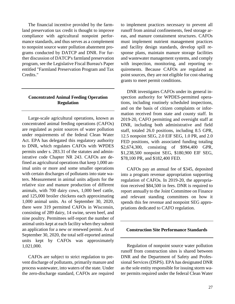The financial incentive provided by the farmland preservation tax credit is thought to improve compliance with agricultural nonpoint performance standards, and thus serves as a complement to nonpoint source water pollution abatement programs conducted by DATCP and DNR. For further discussion of DATCP's farmland preservation program, see the Legislative Fiscal Bureau's Paper entitled "Farmland Preservation Program and Tax Credits."

## **Concentrated Animal Feeding Operation Regulation**

Large-scale agricultural operations, known as concentrated animal feeding operations (CAFOs) are regulated as point sources of water pollution under requirements of the federal Clean Water Act. EPA has delegated this regulatory authority to DNR, which regulates CAFOs with WPDES permits under s. 283.31 of the statutes and administrative code Chapter NR 243. CAFOs are defined as agricultural operations that keep 1,000 animal units or more and some smaller operations with certain discharges of pollutants into state waters. Measurement in animal units adjusts for the relative size and manure production of different animals, with 700 dairy cows, 1,000 beef cattle, and 125,000 broiler chickens each approximating 1,000 animal units. As of September 30, 2020, there were 319 permitted CAFOs in Wisconsin, consisting of 289 dairy, 14 swine, seven beef, and nine poultry. Permittees self-report the number of animal units kept at each facility when they submit an application for a new or renewed permit. As of September 30, 2020, the total self-reported animal units kept by CAFOs was approximately 1,021,000.

CAFOs are subject to strict regulation to prevent discharge of pollutants, primarily manure and process wastewater, into waters of the state. Under the zero-discharge standard, CAFOs are required to implement practices necessary to prevent all runoff from animal confinements, feed storage areas, and manure containment structures. CAFOs must implement nutrient management practices and facility design standards, develop spill response plans, maintain manure storage facilities and wastewater management systems, and comply with inspection, monitoring, and reporting requirements. Because CAFOs are regulated as point sources, they are not eligible for cost-sharing grants to meet permit conditions.

DNR investigates CAFOs under its general inspection authority for WPDES-permitted operations, including routinely scheduled inspections, and on the basis of citizen complaints or information received from state and county staff. In 2019-20, CAFO permitting and oversight staff at DNR, including both administrative and field staff, totaled 26.0 positions, including 8.5 GPR, 12.5 nonpoint SEG, 2.0 EIF SEG, 1.0 PR, and 2.0 FED positions, with associated funding totaling \$2,674,300, consisting of \$994,400 GPR, \$1,238,500 nonpoint SEG, \$180,900 EIF SEG, \$78,100 PR, and \$182,400 FED.

CAFOs pay an annual fee of \$345, deposited into a program revenue appropriation supporting regulation of CAFOs. In 2019-20, the appropriation received \$84,500 in fees. DNR is required to report annually to the Joint Committee on Finance and relevant standing committees on how it spends this fee revenue and nonpoint SEG appropriations dedicated to CAFO regulation.

#### **Construction Site Performance Standards**

Regulation of nonpoint source water pollution runoff from construction sites is shared between DNR and the Department of Safety and Professional Services (DSPS). EPA has designated DNR as the sole entity responsible for issuing storm water permits required under the federal Clean Water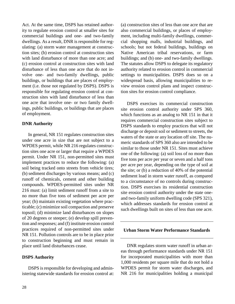Act. At the same time, DSPS has retained authority to regulate erosion control at smaller sites for commercial buildings and one- and two-family dwellings. As a result, DNR is responsible for regulating: (a) storm water management at construction sites; (b) erosion control at construction sites with land disturbance of more than one acre; and (c) erosion control at construction sites with land disturbance of less than one acre that do not involve one- and two-family dwellings, public buildings, or buildings that are places of employment (i.e. those not regulated by DSPS). DSPS is responsible for regulating erosion control at construction sites with land disturbance of less than one acre that involve one- or two family dwellings, public buildings, or buildings that are places of employment.

## **DNR Authority**

In general, NR 151 regulates construction sites under one acre in size that are not subject to a WPDES permit, while NR 216 regulates construction sites one acre or larger that require a WPDES permit. Under NR 151, non-permitted sites must implement practices to reduce the following: (a) soil being tracked onto streets from vehicle tires; (b) sediment discharges by various means; and (c) runoff of chemicals, cement and other building compounds. WPDES-permitted sites under NR 216 must: (a) limit sediment runoff from a site to no more than five tons of sediment per acre per year; (b) maintain existing vegetation where practicable; (c) minimize soil compaction and preserve topsoil; (d) minimize land disturbances on slopes of 20 degrees or steeper; (e) develop spill prevention and responses; and (f) institute erosion control practices required of non-permitted sites under NR 151. Pollution controls are to be in place prior to construction beginning and must remain in place until land disturbances cease.

## **DSPS Authority**

DSPS is responsible for developing and administering statewide standards for erosion control at: (a) construction sites of less than one acre that are also commercial buildings, or places of employment, including multi-family dwellings, commercial shopping malls, industrial buildings, and schools; but not federal buildings, buildings on Native American tribal reservations, or farm buildings; and (b) one- and two-family dwellings. The statutes allow DSPS to delegate its regulatory authority related to erosion control in commercial settings to municipalities. DSPS does so on a widespread basis, allowing municipalities to review erosion control plans and inspect construction sites for erosion control compliance.

DSPS exercises its commercial construction site erosion control authority under SPS 360, which functions as an analog to NR 151 in that it requires commercial construction sites subject to DSPS standards to employ practices that will not discharge or deposit soil or sediment to streets, the waters of the state or any location off site. The numeric standards of SPS 360 also are intended to be similar to those under NR 151. Sites must achieve one of the following: (a) soil loss of no more than five tons per acre per year or seven and a half tons per acre per year, depending on the type of soil at the site; or (b) a reduction of 40% of the potential sediment load in storm water runoff, as compared to a circumstance of no controls during construction. DSPS exercises its residential construction site erosion control authority under the state oneand two-family uniform dwelling code (SPS 321), which addresses standards for erosion control at such dwellings built on sites of less than one acre.

#### **Urban Storm Water Performance Standards**

DNR regulates storm water runoff in urban areas through performance standards under NR 151 for incorporated municipalities with more than 1,000 residents per square mile that do not hold a WPDES permit for storm water discharges, and NR 216 for municipalities holding a municipal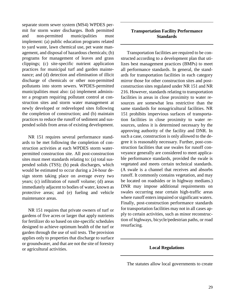separate storm sewer system (MS4) WPDES permit for storm water discharges. Both permitted and non-permitted municipalities must implement: (a) public education programs related to yard waste, lawn chemical use, pet waste management, and disposal of hazardous chemicals; (b) programs for management of leaves and grass clippings; (c) site-specific nutrient application practices for municipal turf and garden maintenance; and (d) detection and elimination of illicit discharge of chemicals or other non-permitted pollutants into storm sewers. WPDES-permitted municipalities must also: (a) implement administer a program requiring pollutant control at construction sites and storm water management at newly developed or redeveloped sites following the completion of construction; and (b) maintain practices to reduce the runoff of sediment and suspended solids from areas of existing development.

NR 151 requires several performance standards to be met following the completion of construction activities at each WPDES storm waterpermitted construction site. All post-construction sites must meet standards relating to: (a) total suspended solids (TSS); (b) peak discharges, which would be estimated to occur during a 24-hour design storm taking place on average every two years; (c) infiltration of runoff volume; (d) areas immediately adjacent to bodies of water, known as protective areas; and (e) fueling and vehicle maintenance areas.

NR 151 requires that private owners of turf or gardens of five acres or larger that apply nutrients for fertilizer do so based on site-specific schedules designed to achieve optimum health of the turf or garden through the use of soil tests. The provision applies only to properties that discharge to surface or groundwater, and that are not the site of forestry or agricultural activities.

## **Transportation Facility Performance Standards**

Transportation facilities are required to be constructed according to a development plan that utilizes best management practices (BMPs) to meet all performance standards. In general, the standards for transportation facilities in each category mirror those for other construction sites and postconstruction sites regulated under NR 151 and NR 216. However, standards relating to transportation facilities in areas in close proximity to water resources are somewhat less restrictive than the same standards for nonagricultural facilities. NR 151 prohibits impervious surfaces of transportation facilities in close proximity to water resources, unless it is determined necessary by the approving authority of the facility and DNR. In such a case, construction is only allowed to the degree it is reasonably necessary. Further, post-construction facilities that use swales for runoff conveyance generally are considered to meet applicable performance standards, provided the swale is vegetated and meets certain technical standards. (A swale is a channel that receives and absorbs runoff. It commonly contains vegetation, and may be located on roadsides or in highway medians.) DNR may impose additional requirements on swales occurring near certain high-traffic areas where runoff enters impaired or significant waters. Finally, post-construction performance standards for transportation facilities may not in all cases apply to certain activities, such as minor reconstruction of highways, bicycle/pedestrian paths, or road resurfacing.

## **Local Regulations**

The statutes allow local governments to create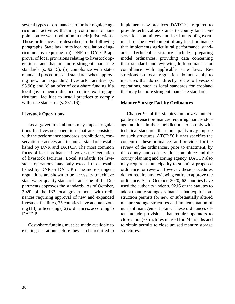several types of ordinances to further regulate agricultural activities that may contribute to nonpoint source water pollution in their jurisdictions. These ordinances are described in the following paragraphs. State law limits local regulation of agriculture by requiring: (a) DNR or DATCP approval of local provisions relating to livestock operations, and that are more stringent than state standards (s. 92.15); (b) compliance with statemandated procedures and standards when approving new or expanding livestock facilities (s. 93.90); and (c) an offer of cost-share funding if a local government ordinance requires existing agricultural facilities to install practices to comply with state standards (s. 281.16).

#### **Livestock Operations**

Local governmental units may impose regulations for livestock operations that are consistent with the performance standards, prohibitions, conservation practices and technical standards established by DNR and DATCP. The most common focus of local ordinances involves the regulation of livestock facilities. Local standards for livestock operations may only exceed those established by DNR or DATCP if the more stringent regulations are shown to be necessary to achieve state water quality standards, and one of the Departments approves the standards. As of October, 2020, of the 133 local governments with ordinances requiring approval of new and expanded livestock facilities, 25 counties have adopted zoning (13) or licensing (12) ordinances, according to DATCP.

Cost-share funding must be made available to existing operations before they can be required to implement new practices. DATCP is required to provide technical assistance to county land conservation committees and local units of government for the development of any local ordinance that implements agricultural performance standards. Technical assistance includes preparing model ordinances, providing data concerning these standards and reviewing draft ordinances for compliance with applicable state laws. Restrictions on local regulation do not apply to measures that do not directly relate to livestock operations, such as local standards for cropland that may be more stringent than state standards.

#### **Manure Storage Facility Ordinances**

Chapter 92 of the statutes authorizes municipalities to enact ordinances requiring manure storage facilities in their jurisdictions to comply with technical standards the municipality may impose on such structures. ATCP 50 further specifies the content of these ordinances and provides for the review of the ordinances, prior to enactment, by the county land conservation committee and the county planning and zoning agency. DATCP also may require a municipality to submit a proposed ordinance for review. However, these procedures do not require any reviewing entity to approve the ordinance. As of October, 2020, 62 counties have used the authority under s. 92.l6 of the statutes to adopt manure storage ordinances that require construction permits for new or substantially altered manure storage structures and implementation of nutrient management plans. These ordinances often include provisions that require operators to close storage structures unused for 24 months and to obtain permits to close unused manure storage structures.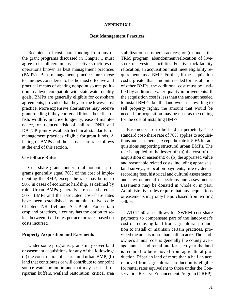#### **APPENDIX I**

#### **Best Management Practices**

Recipients of cost-share funding from any of the grant programs discussed in Chapter 1 must agree to install certain cost-effective structures or operations known as best management practices (BMPs). Best management practices are those techniques considered to be the most effective and practical means of abating nonpoint source pollution to a level compatible with state water quality goals. BMPs are generally eligible for cost-share agreements, provided that they are the lowest-cost practice. More expensive alternatives may receive grant funding if they confer additional benefits for fish, wildlife, practice longevity, ease of maintenance, or reduced risk of failure. DNR and DATCP jointly establish technical standards for management practices eligible for grant funds. A listing of BMPs and their cost-share rate follows at the end of this section.

#### **Cost-Share Rates**

Cost-share grants under rural nonpoint programs generally equal 70% of the cost of implementing the BMP, except the rate may be up to 90% in cases of economic hardship, as defined by rule. Urban BMPs generally are cost-shared at 50%. BMPs and the associated cost-share rates have been established by administrative code Chapters NR 154 and ATCP 50. For certain cropland practices, a county has the option to select between fixed rates per acre or rates based on costs incurred*.*

#### **Property Acquisition and Easements**

Under some programs, grants may cover land or easement acquisitions for any of the following: (a) the construction of a structural urban BMP; (b) land that contributes or will contribute to nonpoint source water pollution and that may be used for riparian buffers, wetland restoration, critical area stabilization or other practices; or (c) under the TRM program, abandonment/relocation of livestock or livestock facilities. For livestock facility relocation, an acquisition must meet eligibility requirements as a BMP. Further, if the acquisition cost is greater than amounts needed for installation of other BMPs, the additional cost must be justified by additional water quality improvements. If the acquisition cost is less than the amount needed to install BMPs, but the landowner is unwilling to sell property rights, the amount that would be needed for acquisition may be used as the ceiling for the cost of installing BMPs.

Easements are to be held in perpetuity. The standard cost-share rate of 70% applies to acquisitions and easements, except the rate is 50% for acquisitions supporting structural urban BMPs. The rate is applied to the lesser of: (a) the cost of the acquisition or easement; or (b) the appraised value and reasonable related costs, including appraisals, land surveys, relocation payments, title evidence, recording fees, historical and cultural assessments, and environmental inspections and assessments. Easements may be donated in whole or in part. Administrative rules require that any acquisitions or easements may only be purchased from willing sellers.

ATCP 50 also allows for SWRM cost-share payments to compensate part of the landowner's cost of removing land from agricultural production to install or maintain certain practices, provided the area is more than half an acre. The landowner's annual cost is generally the county average annual land rental rate for each year the land is required to be removed from agricultural production. Riparian land of more than a half an acre removed from agricultural production is eligible for rental rates equivalent to those under the Conservation Reserve Enhancement Program (CREP),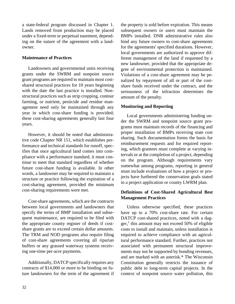a state-federal program discussed in Chapter 1. Lands removed from production may be placed under a fixed-term or perpetual easement, depending on the nature of the agreement with a landowner.

## **Maintenance of Practices**

Landowners and governmental units receiving grants under the SWRM and nonpoint source grant programs are required to maintain most costshared structural practices for 10 years beginning with the date the last practice is installed. Nonstructural practices such as strip cropping, contour farming, or nutrient, pesticide and residue management need only be maintained through any year in which cost-share funding is provided; these cost-sharing agreements generally last four years.

However, it should be noted that administrative code Chapter NR 151, which establishes performance and technical standards for runoff, specifies that once agricultural land comes into compliance with a performance standard, it must continue to meet that standard regardless of whether future cost-share funding is available. In other words, a landowner may be required to maintain a structure or practice following the expiration of a cost-sharing agreement, provided the minimum cost-sharing requirements were met.

Cost-share agreements, which are the contracts between local governments and landowners that specify the terms of BMP installation and subsequent maintenance, are required to be filed with the appropriate county register of deeds if costshare grants are to exceed certain dollar amounts. The TRM and NOD programs also require filing of cost-share agreements covering all riparian buffers or any grassed waterway systems receiving one-time per-acre payments.

Additionally, DATCP specifically requires any contracts of \$14,000 or more to be binding on future landowners for the term of the agreement if the property is sold before expiration. This means subsequent owners or users must maintain the BMPs installed. DNR administrative rules also bind any future owners to cost-share agreements for the agreements' specified durations. However, local governments are authorized to approve different management of the land if requested by a new landowner, provided that the appropriate degree of environmental protection is maintained. Violations of a cost-share agreement may be penalized by repayment of all or part of the costshare funds received under the contract, and the seriousness of the infraction determines the amount of the penalty.

## **Monitoring and Reporting**

Local governments administering funding under the SWRM and nonpoint source grant programs must maintain records of the financing and proper installation of BMPs receiving state cost sharing. Such documentation forms the basis for reimbursement requests and for required reporting, which grantees must complete at varying intervals or at the completion of a project, depending on the program. Although requirements vary somewhat among programs, reporting in general must include evaluations of how a project or projects have furthered the conservation goals stated in a project application or county LWRM plan.

## **Definitions of Cost-Shared Agricultural Best Management Practices**

Unless otherwise specified, these practices have up to a 70% cost-share rate. For certain DATCP cost-shared practices, noted with a dagger,† this amount may not exceed 50% of eligible costs to install and maintain, unless installation is required to achieve compliance with an agricultural performance standard. Further, practices not associated with permanent structural improvements may not be supported by bonding revenues, and are marked with an asterisk.\* The Wisconsin Constitution generally restricts the issuance of public debt to long-term capital projects. In the context of nonpoint source water pollution, this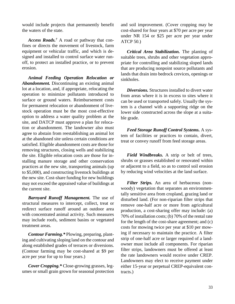would include projects that permanently benefit the waters of the state.

*Access Roads. †* A road or pathway that confines or directs the movement of livestock, farm equipment or vehicular traffic, and which is designed and installed to control surface water runoff, to protect an installed practice, or to prevent erosion.

*Animal Feeding Operation Relocation or Abandonment.* Discontinuing an existing animal lot at a location, and, if appropriate, relocating the operation to minimize pollutants introduced to surface or ground waters. Reimbursement costs for permanent relocation or abandonment of livestock operation must be the most cost-effective option to address a water quality problem at the site, and DATCP must approve a plan for relocation or abandonment. The landowner also must agree to abstain from reestablishing an animal lot at the abandoned site unless certain conditions are satisfied. Eligible abandonment costs are those for removing structures, closing wells and stabilizing the site. Eligible relocation costs are those for installing manure storage and other conservation practices at the new site, transporting animals (up to \$5,000), and constructing livestock buildings at the new site. Cost-share funding for new buildings may not exceed the appraised value of buildings at the current site.

*Barnyard Runoff Management.* The use of structural measures to intercept, collect, treat or redirect surface runoff around an outdoor area with concentrated animal activity. Such measures may include roofs, sediment basins or vegetated treatment areas.

*Contour Farming.\** Plowing, preparing, planting and cultivating sloping land on the contour and along established grades of terraces or diversions. (Contour farming may be cost-shared at \$9 per acre per year for up to four years.)

*Cover Cropping.\** Close-growing grasses, legumes or small grain grown for seasonal protection and soil improvement. (Cover cropping may be cost-shared for four years at \$70 per acre per year under NR 154 or \$25 per acre per year under ATCP 50.)

*Critical Area Stabilization.* The planting of suitable trees, shrubs and other vegetation appropriate for controlling and stabilizing sloped lands that are producing nonpoint source pollutants and lands that drain into bedrock crevices, openings or sinkholes.

*Diversions.* Structures installed to divert water from areas where it is in excess to sites where it can be used or transported safely. Usually the system is a channel with a supporting ridge on the lower side constructed across the slope at a suitable grade.

*Feed Storage Runoff Control Systems.* A system of facilities or practices to contain, divert, treat or convey runoff from feed storage areas.

*Field Windbreaks.* A strip or belt of trees, shrubs or grasses established or renovated within or adjacent to a field, so as to control soil erosion by reducing wind velocities at the land surface.

*Filter Strips.* An area of herbaceous (nonwoody) vegetation that separates an environmentally sensitive area from cropland, grazing land or disturbed land. (For non-riparian filter strips that remove one-half acre or more from agricultural production, a cost-sharing offer may include: (a) 70% of installation costs; (b) 70% of the rental rate for the length of the cost-share agreement; and (c) costs for mowing twice per year at \$10 per mowing if necessary to maintain the practice. A filter strip of one-half acre or larger required of a landowner must include all components. For riparian filter strips, landowners must be offered at least the rate landowners would receive under CREP. Landowners may elect to receive payment under either 15-year or perpetual CREP-equivalent contracts.)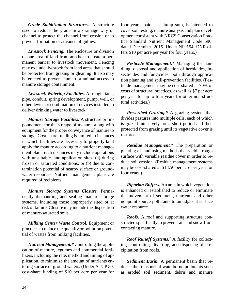*Grade Stabilization Structures.* A structure used to reduce the grade in a drainage way or channel to protect the channel from erosion or to prevent formation or advance of gullies.

*Livestock Fencing.* The enclosure or division of one area of land from another to create a permanent barrier to livestock movement. Fencing may exclude livestock from land areas that should be protected from grazing or gleaning. It also may be erected to prevent human or animal access to manure storage containment.

*Livestock Watering Facilities.* A trough, tank, pipe, conduit, spring development, pump, well, or other device or combination of devices installed to deliver drinking water to livestock.

*Manure Storage Facilities.* A structure or impoundment for the storage of manure, along with equipment for the proper conveyance of manure to storage. Cost-share funding is limited to instances in which facilities are necessary to properly land apply the manure according to a nutrient management plan. Such instances may include operations with unsuitable land application sites: (a) during frozen or saturated conditions; or (b) due to contamination potential of nearby surface or groundwater resources. Nutrient management plans are required of recipients.

*Manure Storage Systems Closure.* Permanently dismantling and sealing manure storage systems, including those improperly sited or at risk of failure. Closure may include the disposition of manure-saturated soils.

*Milking Center Waste Control.* Equipment or practices to reduce the quantity or pollution potential of wastes from milking facilities.

*Nutrient Management.\** Controlling the application of manure, legumes and commercial fertilizers, including the rate, method and timing of application, to minimize the amount of nutrients entering surface or ground waters. (Under ATCP 50, cost-share funding of \$10 per acre per year for four years, paid as a lump sum, is intended to cover soil testing, manure analysis and plan development consistent with NRCS Conservation Practice Standard Nutrient Management Code 590, dated December, 2015. Under NR 154, DNR offers \$10 per acre per year for four years.)

*Pesticide Management.\** Managing the handling, disposal and application of herbicides, insecticides and fungicides, both through application planning and spill-prevention facilities. (Pesticide management may be cost-shared at 70% of costs of structural practices, as well as \$7 per acre per year for up to four years for other non-structural activities.)

*Prescribed Grazing.\** A grazing system that divides pastures into multiple cells, each of which is grazed intensively for a short period and then protected from grazing until its vegetative cover is restored.

*Residue Management.\** The preparation or planting of land using methods that yield a rough surface with variable residue cover in order to reduce soil erosion. (Residue management systems may be cost-shared at \$18.50 per acre per year for four years.)

*Riparian Buffers.* An area in which vegetation is enhanced or established to reduce or eliminate the movement of sediment, nutrients and other nonpoint source pollutants to an adjacent surface water resource.

*Roofs.* A roof and supporting structure constructed specifically to prevent rain and snow from contacting manure.

*Roof Runoff Systems. †* A facility for collecting, controlling, diverting, and disposing of precipitation from roofs.

*Sediment Basin.* A permanent basin that reduces the transport of waterborne pollutants such as eroded soil sediment, debris and manure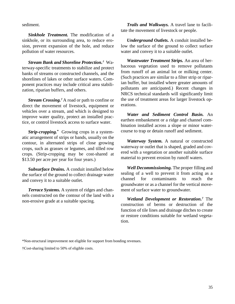sediment.

*Sinkhole Treatment.* The modification of a sinkhole, or its surrounding area, to reduce erosion, prevent expansion of the hole, and reduce pollution of water resources.

*Stream Bank and Shoreline Protection. †* Waterway-specific treatments to stabilize and protect banks of streams or constructed channels, and the shorelines of lakes or other surface waters. Component practices may include critical area stabilization, riparian buffers, and others.

*Stream Crossing.†* A road or path to confine or direct the movement of livestock, equipment or vehicles over a stream, and which is designed to improve water quality, protect an installed practice, or control livestock access to surface water.

*Strip-cropping.\** Growing crops in a systematic arrangement of strips or bands, usually on the contour, in alternated strips of close growing crops, such as grasses or legumes, and tilled row crops. (Strip-cropping may be cost-shared at \$13.50 per acre per year for four years.)

*Subsurface Drains.* A conduit installed below the surface of the ground to collect drainage water and convey it to a suitable outlet.

*Terrace Systems.* A system of ridges and channels constructed on the contour of the land with a non-erosive grade at a suitable spacing.

*Trails and Walkways.* A travel lane to facilitate the movement of livestock or people.

*Underground Outlets.* A conduit installed below the surface of the ground to collect surface water and convey it to a suitable outlet.

*Wastewater Treatment Strips.* An area of herbaceous vegetation used to remove pollutants from runoff of an animal lot or milking center. (Such practices are similar to a filter strip or riparian buffer, but installed where greater amounts of pollutants are anticipated.) Recent changes in NRCS technical standards will significantly limit the use of treatment areas for larger livestock operations.

*Water and Sediment Control Basin.* An earthen embankment or a ridge and channel combination installed across a slope or minor watercourse to trap or detain runoff and sediment.

*Waterway System.* A natural or constructed waterway or outlet that is shaped, graded and covered with a vegetation or another suitable surface material to prevent erosion by runoff waters.

*Well Decommissioning.* The proper filling and sealing of a well to prevent it from acting as a channel for contaminants to reach the groundwater or as a channel for the vertical movement of surface water to groundwater.

*Wetland Development or Restoration. †* The construction of berms or destruction of the function of tile lines and drainage ditches to create or restore conditions suitable for wetland vegetation.

\*Non-structural improvement not eligible for support from bonding revenues.

†Cost-sharing limited to 50% of eligible costs.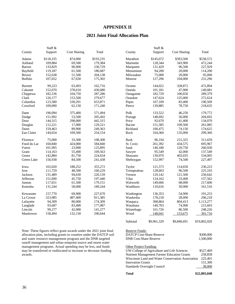## **APPENDIX II**

## **2021 Joint Final Allocation Plan**

| <b>Cost Sharing</b><br>Total<br><b>Cost Sharing</b><br>Total<br>County<br>Support<br>County<br>Support<br>\$193,235<br>\$538,572<br>Adams<br>\$118,335<br>\$74,900<br>\$145,072<br>\$393,500<br>Marathon<br>Ashland<br>109,884<br>69,500<br>179,384<br>128,344<br>343,900<br>472,244<br>Marinette<br>96,900<br>227,929<br>133,829<br>230,729<br>131,429<br>96,500<br>Barron<br>Marquette<br>119,187<br>61,500<br>180,687<br>94,200<br>114,200<br>Bayfield<br>Menominee<br>20,000<br>51,500<br>20,000<br>95,000<br><b>Brown</b><br>152,638<br>204,138<br>Milwaukee<br>75,000<br><b>Buffalo</b><br>107,652<br>67,650<br>175,302<br>127,296<br>104,000<br>231,296<br>Monroe<br>99,223<br>63,493<br>162,716<br>144,022<br>472,894<br><b>Burnett</b><br>Oconto<br>328,872<br>152,070<br>278,610<br>Oneida<br>Calumet<br>430,680<br>101,181<br>47,900<br>149,081<br>182,536<br>182,729<br>289,379<br>104,750<br>287,286<br>106,650<br>Chippewa<br>Outagamie<br>126,177<br>Clark<br>153,500<br>279,677<br>Ozaukee<br>147,624<br>125,000<br>272,624<br>123,580<br>Columbia<br>530,291<br>653,871<br>Pepin<br>107,109<br>83,400<br>190,509<br>Crawford<br>109,090<br>62,150<br>171,240<br>Pierce<br>139,885<br>78,750<br>218,635<br>196,094<br>571,494<br>Polk<br>46,250<br>179,772<br>Dane<br>375,400<br>133,522<br>151,992<br>148,692<br>56,000<br>53,500<br>205,492<br>204,692<br>Dodge<br>Portage<br>Door<br>144,315<br>298,000<br>442,315<br>Price<br>92,670<br>41,400<br>134,070<br>112,221<br>17,000<br>129,221<br>Racine<br>151,585<br>109,500<br>261,085<br>Douglas<br>89,900<br>Dunn<br>159,463<br>249,363<br>Richland<br>100,475<br>74,150<br>174,625<br>299,360<br>Eau Claire<br>144,654<br>109,500<br>254,154<br>164,360<br>135,000<br>Rock<br>108,300<br>75,000<br>Rusk<br>96,334<br>215,325<br>311,659<br>Florence<br>33,300<br>160,840<br>Fond du Lac<br>424,000<br>584,840<br>St. Croix<br>261,392<br>434,575<br>695,967<br>101,995<br>23,900<br>125,895<br>Sauk<br>140,180<br>120,750<br>260,930<br>Forest<br>114,163<br>137,549<br>55,400<br>169,563<br>95,549<br>42,000<br>Grant<br>Sawyer<br>142,884<br>Green<br>81,750<br>224,634<br>Shawano<br>130,970<br>403,035<br>534,005<br>Green Lake<br>156,938<br>84,500<br>152,997<br>74,500<br>227,497<br>241,438<br>Sheboygan<br>165,020<br>188,252<br>353,272<br>121,573<br>236,223<br>Iowa<br>Taylor<br>114,650 |
|---------------------------------------------------------------------------------------------------------------------------------------------------------------------------------------------------------------------------------------------------------------------------------------------------------------------------------------------------------------------------------------------------------------------------------------------------------------------------------------------------------------------------------------------------------------------------------------------------------------------------------------------------------------------------------------------------------------------------------------------------------------------------------------------------------------------------------------------------------------------------------------------------------------------------------------------------------------------------------------------------------------------------------------------------------------------------------------------------------------------------------------------------------------------------------------------------------------------------------------------------------------------------------------------------------------------------------------------------------------------------------------------------------------------------------------------------------------------------------------------------------------------------------------------------------------------------------------------------------------------------------------------------------------------------------------------------------------------------------------------------------------------------------------------------------------------------------------------------------------------------------------------------------------------------------------------------------------------------------------------------------------------------------------------------------------------------------------------------------------------------------------------------------------------------------------------------------------------------------------------------------------------------------------------------------------------------------------------------------------------------|
|                                                                                                                                                                                                                                                                                                                                                                                                                                                                                                                                                                                                                                                                                                                                                                                                                                                                                                                                                                                                                                                                                                                                                                                                                                                                                                                                                                                                                                                                                                                                                                                                                                                                                                                                                                                                                                                                                                                                                                                                                                                                                                                                                                                                                                                                                                                                                                           |
|                                                                                                                                                                                                                                                                                                                                                                                                                                                                                                                                                                                                                                                                                                                                                                                                                                                                                                                                                                                                                                                                                                                                                                                                                                                                                                                                                                                                                                                                                                                                                                                                                                                                                                                                                                                                                                                                                                                                                                                                                                                                                                                                                                                                                                                                                                                                                                           |
|                                                                                                                                                                                                                                                                                                                                                                                                                                                                                                                                                                                                                                                                                                                                                                                                                                                                                                                                                                                                                                                                                                                                                                                                                                                                                                                                                                                                                                                                                                                                                                                                                                                                                                                                                                                                                                                                                                                                                                                                                                                                                                                                                                                                                                                                                                                                                                           |
|                                                                                                                                                                                                                                                                                                                                                                                                                                                                                                                                                                                                                                                                                                                                                                                                                                                                                                                                                                                                                                                                                                                                                                                                                                                                                                                                                                                                                                                                                                                                                                                                                                                                                                                                                                                                                                                                                                                                                                                                                                                                                                                                                                                                                                                                                                                                                                           |
|                                                                                                                                                                                                                                                                                                                                                                                                                                                                                                                                                                                                                                                                                                                                                                                                                                                                                                                                                                                                                                                                                                                                                                                                                                                                                                                                                                                                                                                                                                                                                                                                                                                                                                                                                                                                                                                                                                                                                                                                                                                                                                                                                                                                                                                                                                                                                                           |
|                                                                                                                                                                                                                                                                                                                                                                                                                                                                                                                                                                                                                                                                                                                                                                                                                                                                                                                                                                                                                                                                                                                                                                                                                                                                                                                                                                                                                                                                                                                                                                                                                                                                                                                                                                                                                                                                                                                                                                                                                                                                                                                                                                                                                                                                                                                                                                           |
|                                                                                                                                                                                                                                                                                                                                                                                                                                                                                                                                                                                                                                                                                                                                                                                                                                                                                                                                                                                                                                                                                                                                                                                                                                                                                                                                                                                                                                                                                                                                                                                                                                                                                                                                                                                                                                                                                                                                                                                                                                                                                                                                                                                                                                                                                                                                                                           |
|                                                                                                                                                                                                                                                                                                                                                                                                                                                                                                                                                                                                                                                                                                                                                                                                                                                                                                                                                                                                                                                                                                                                                                                                                                                                                                                                                                                                                                                                                                                                                                                                                                                                                                                                                                                                                                                                                                                                                                                                                                                                                                                                                                                                                                                                                                                                                                           |
|                                                                                                                                                                                                                                                                                                                                                                                                                                                                                                                                                                                                                                                                                                                                                                                                                                                                                                                                                                                                                                                                                                                                                                                                                                                                                                                                                                                                                                                                                                                                                                                                                                                                                                                                                                                                                                                                                                                                                                                                                                                                                                                                                                                                                                                                                                                                                                           |
|                                                                                                                                                                                                                                                                                                                                                                                                                                                                                                                                                                                                                                                                                                                                                                                                                                                                                                                                                                                                                                                                                                                                                                                                                                                                                                                                                                                                                                                                                                                                                                                                                                                                                                                                                                                                                                                                                                                                                                                                                                                                                                                                                                                                                                                                                                                                                                           |
|                                                                                                                                                                                                                                                                                                                                                                                                                                                                                                                                                                                                                                                                                                                                                                                                                                                                                                                                                                                                                                                                                                                                                                                                                                                                                                                                                                                                                                                                                                                                                                                                                                                                                                                                                                                                                                                                                                                                                                                                                                                                                                                                                                                                                                                                                                                                                                           |
|                                                                                                                                                                                                                                                                                                                                                                                                                                                                                                                                                                                                                                                                                                                                                                                                                                                                                                                                                                                                                                                                                                                                                                                                                                                                                                                                                                                                                                                                                                                                                                                                                                                                                                                                                                                                                                                                                                                                                                                                                                                                                                                                                                                                                                                                                                                                                                           |
|                                                                                                                                                                                                                                                                                                                                                                                                                                                                                                                                                                                                                                                                                                                                                                                                                                                                                                                                                                                                                                                                                                                                                                                                                                                                                                                                                                                                                                                                                                                                                                                                                                                                                                                                                                                                                                                                                                                                                                                                                                                                                                                                                                                                                                                                                                                                                                           |
|                                                                                                                                                                                                                                                                                                                                                                                                                                                                                                                                                                                                                                                                                                                                                                                                                                                                                                                                                                                                                                                                                                                                                                                                                                                                                                                                                                                                                                                                                                                                                                                                                                                                                                                                                                                                                                                                                                                                                                                                                                                                                                                                                                                                                                                                                                                                                                           |
|                                                                                                                                                                                                                                                                                                                                                                                                                                                                                                                                                                                                                                                                                                                                                                                                                                                                                                                                                                                                                                                                                                                                                                                                                                                                                                                                                                                                                                                                                                                                                                                                                                                                                                                                                                                                                                                                                                                                                                                                                                                                                                                                                                                                                                                                                                                                                                           |
|                                                                                                                                                                                                                                                                                                                                                                                                                                                                                                                                                                                                                                                                                                                                                                                                                                                                                                                                                                                                                                                                                                                                                                                                                                                                                                                                                                                                                                                                                                                                                                                                                                                                                                                                                                                                                                                                                                                                                                                                                                                                                                                                                                                                                                                                                                                                                                           |
|                                                                                                                                                                                                                                                                                                                                                                                                                                                                                                                                                                                                                                                                                                                                                                                                                                                                                                                                                                                                                                                                                                                                                                                                                                                                                                                                                                                                                                                                                                                                                                                                                                                                                                                                                                                                                                                                                                                                                                                                                                                                                                                                                                                                                                                                                                                                                                           |
|                                                                                                                                                                                                                                                                                                                                                                                                                                                                                                                                                                                                                                                                                                                                                                                                                                                                                                                                                                                                                                                                                                                                                                                                                                                                                                                                                                                                                                                                                                                                                                                                                                                                                                                                                                                                                                                                                                                                                                                                                                                                                                                                                                                                                                                                                                                                                                           |
|                                                                                                                                                                                                                                                                                                                                                                                                                                                                                                                                                                                                                                                                                                                                                                                                                                                                                                                                                                                                                                                                                                                                                                                                                                                                                                                                                                                                                                                                                                                                                                                                                                                                                                                                                                                                                                                                                                                                                                                                                                                                                                                                                                                                                                                                                                                                                                           |
|                                                                                                                                                                                                                                                                                                                                                                                                                                                                                                                                                                                                                                                                                                                                                                                                                                                                                                                                                                                                                                                                                                                                                                                                                                                                                                                                                                                                                                                                                                                                                                                                                                                                                                                                                                                                                                                                                                                                                                                                                                                                                                                                                                                                                                                                                                                                                                           |
|                                                                                                                                                                                                                                                                                                                                                                                                                                                                                                                                                                                                                                                                                                                                                                                                                                                                                                                                                                                                                                                                                                                                                                                                                                                                                                                                                                                                                                                                                                                                                                                                                                                                                                                                                                                                                                                                                                                                                                                                                                                                                                                                                                                                                                                                                                                                                                           |
|                                                                                                                                                                                                                                                                                                                                                                                                                                                                                                                                                                                                                                                                                                                                                                                                                                                                                                                                                                                                                                                                                                                                                                                                                                                                                                                                                                                                                                                                                                                                                                                                                                                                                                                                                                                                                                                                                                                                                                                                                                                                                                                                                                                                                                                                                                                                                                           |
|                                                                                                                                                                                                                                                                                                                                                                                                                                                                                                                                                                                                                                                                                                                                                                                                                                                                                                                                                                                                                                                                                                                                                                                                                                                                                                                                                                                                                                                                                                                                                                                                                                                                                                                                                                                                                                                                                                                                                                                                                                                                                                                                                                                                                                                                                                                                                                           |
|                                                                                                                                                                                                                                                                                                                                                                                                                                                                                                                                                                                                                                                                                                                                                                                                                                                                                                                                                                                                                                                                                                                                                                                                                                                                                                                                                                                                                                                                                                                                                                                                                                                                                                                                                                                                                                                                                                                                                                                                                                                                                                                                                                                                                                                                                                                                                                           |
|                                                                                                                                                                                                                                                                                                                                                                                                                                                                                                                                                                                                                                                                                                                                                                                                                                                                                                                                                                                                                                                                                                                                                                                                                                                                                                                                                                                                                                                                                                                                                                                                                                                                                                                                                                                                                                                                                                                                                                                                                                                                                                                                                                                                                                                                                                                                                                           |
|                                                                                                                                                                                                                                                                                                                                                                                                                                                                                                                                                                                                                                                                                                                                                                                                                                                                                                                                                                                                                                                                                                                                                                                                                                                                                                                                                                                                                                                                                                                                                                                                                                                                                                                                                                                                                                                                                                                                                                                                                                                                                                                                                                                                                                                                                                                                                                           |
| 48,500<br>111,729<br>160,229<br>Trempealeau<br>128,603<br>96,500<br>225,103<br>Iron                                                                                                                                                                                                                                                                                                                                                                                                                                                                                                                                                                                                                                                                                                                                                                                                                                                                                                                                                                                                                                                                                                                                                                                                                                                                                                                                                                                                                                                                                                                                                                                                                                                                                                                                                                                                                                                                                                                                                                                                                                                                                                                                                                                                                                                                                       |
| Jackson<br>131,489<br>94,650<br>226,139<br>Vernon<br>129,142<br>121,500<br>250,642                                                                                                                                                                                                                                                                                                                                                                                                                                                                                                                                                                                                                                                                                                                                                                                                                                                                                                                                                                                                                                                                                                                                                                                                                                                                                                                                                                                                                                                                                                                                                                                                                                                                                                                                                                                                                                                                                                                                                                                                                                                                                                                                                                                                                                                                                        |
| Vilas<br>Jefferson<br>151,690<br>45,750<br>197,440<br>124,162<br>33,400<br>157,562                                                                                                                                                                                                                                                                                                                                                                                                                                                                                                                                                                                                                                                                                                                                                                                                                                                                                                                                                                                                                                                                                                                                                                                                                                                                                                                                                                                                                                                                                                                                                                                                                                                                                                                                                                                                                                                                                                                                                                                                                                                                                                                                                                                                                                                                                        |
| 117,651<br>61,500<br>179,151<br>Walworth<br>149,606<br>68,000<br>217,606<br>Juneau                                                                                                                                                                                                                                                                                                                                                                                                                                                                                                                                                                                                                                                                                                                                                                                                                                                                                                                                                                                                                                                                                                                                                                                                                                                                                                                                                                                                                                                                                                                                                                                                                                                                                                                                                                                                                                                                                                                                                                                                                                                                                                                                                                                                                                                                                        |
| Kenosha<br>131,244<br>58,000<br>Washburn<br>110,616<br>50,900<br>161,516<br>189,244                                                                                                                                                                                                                                                                                                                                                                                                                                                                                                                                                                                                                                                                                                                                                                                                                                                                                                                                                                                                                                                                                                                                                                                                                                                                                                                                                                                                                                                                                                                                                                                                                                                                                                                                                                                                                                                                                                                                                                                                                                                                                                                                                                                                                                                                                       |
| 227,670<br>54,900<br>191,253<br>Kewaunee<br>157,770<br>69,900<br>Washington<br>136,353                                                                                                                                                                                                                                                                                                                                                                                                                                                                                                                                                                                                                                                                                                                                                                                                                                                                                                                                                                                                                                                                                                                                                                                                                                                                                                                                                                                                                                                                                                                                                                                                                                                                                                                                                                                                                                                                                                                                                                                                                                                                                                                                                                                                                                                                                    |
| La Crosse<br>323,985<br>487,400<br>811,385<br>Waukesha<br>178,218<br>28,000<br>206,218                                                                                                                                                                                                                                                                                                                                                                                                                                                                                                                                                                                                                                                                                                                                                                                                                                                                                                                                                                                                                                                                                                                                                                                                                                                                                                                                                                                                                                                                                                                                                                                                                                                                                                                                                                                                                                                                                                                                                                                                                                                                                                                                                                                                                                                                                    |
| Lafayette<br>94,309<br>80,000<br>174,309<br>308,864<br>804,413<br>1,113,277<br>Waupaca                                                                                                                                                                                                                                                                                                                                                                                                                                                                                                                                                                                                                                                                                                                                                                                                                                                                                                                                                                                                                                                                                                                                                                                                                                                                                                                                                                                                                                                                                                                                                                                                                                                                                                                                                                                                                                                                                                                                                                                                                                                                                                                                                                                                                                                                                    |
| 93,687<br>83,400<br>177,087<br>140,703<br>74,900<br>Langlade<br>Waushara<br>215,603                                                                                                                                                                                                                                                                                                                                                                                                                                                                                                                                                                                                                                                                                                                                                                                                                                                                                                                                                                                                                                                                                                                                                                                                                                                                                                                                                                                                                                                                                                                                                                                                                                                                                                                                                                                                                                                                                                                                                                                                                                                                                                                                                                                                                                                                                       |
| 99,277<br>161,726<br>Lincoln<br>42,000<br>141,277<br>Winnebago<br>86,500<br>248,226                                                                                                                                                                                                                                                                                                                                                                                                                                                                                                                                                                                                                                                                                                                                                                                                                                                                                                                                                                                                                                                                                                                                                                                                                                                                                                                                                                                                                                                                                                                                                                                                                                                                                                                                                                                                                                                                                                                                                                                                                                                                                                                                                                                                                                                                                       |
| 158,494<br>290,644<br>Wood<br>148,041<br>153,675<br>301,716<br>Manitowoc<br>132,150                                                                                                                                                                                                                                                                                                                                                                                                                                                                                                                                                                                                                                                                                                                                                                                                                                                                                                                                                                                                                                                                                                                                                                                                                                                                                                                                                                                                                                                                                                                                                                                                                                                                                                                                                                                                                                                                                                                                                                                                                                                                                                                                                                                                                                                                                       |
| Subtotal<br>\$9,840,691<br>\$19,802,020<br>\$9,961,329                                                                                                                                                                                                                                                                                                                                                                                                                                                                                                                                                                                                                                                                                                                                                                                                                                                                                                                                                                                                                                                                                                                                                                                                                                                                                                                                                                                                                                                                                                                                                                                                                                                                                                                                                                                                                                                                                                                                                                                                                                                                                                                                                                                                                                                                                                                    |
| Note: These figures reflect grant awards under the 2021 joint final<br>Reserve Funds:                                                                                                                                                                                                                                                                                                                                                                                                                                                                                                                                                                                                                                                                                                                                                                                                                                                                                                                                                                                                                                                                                                                                                                                                                                                                                                                                                                                                                                                                                                                                                                                                                                                                                                                                                                                                                                                                                                                                                                                                                                                                                                                                                                                                                                                                                     |
| allocation plan, including grants to counties under the DATCP soil<br><b>DATCP Cost-Share Reserve</b><br>\$300,000                                                                                                                                                                                                                                                                                                                                                                                                                                                                                                                                                                                                                                                                                                                                                                                                                                                                                                                                                                                                                                                                                                                                                                                                                                                                                                                                                                                                                                                                                                                                                                                                                                                                                                                                                                                                                                                                                                                                                                                                                                                                                                                                                                                                                                                        |
| and water resource management program and the DNR targeted<br><b>DNR Cost-Share Reserve</b><br>1,500,000                                                                                                                                                                                                                                                                                                                                                                                                                                                                                                                                                                                                                                                                                                                                                                                                                                                                                                                                                                                                                                                                                                                                                                                                                                                                                                                                                                                                                                                                                                                                                                                                                                                                                                                                                                                                                                                                                                                                                                                                                                                                                                                                                                                                                                                                  |
| runoff management and urban nonpoint source and storm water                                                                                                                                                                                                                                                                                                                                                                                                                                                                                                                                                                                                                                                                                                                                                                                                                                                                                                                                                                                                                                                                                                                                                                                                                                                                                                                                                                                                                                                                                                                                                                                                                                                                                                                                                                                                                                                                                                                                                                                                                                                                                                                                                                                                                                                                                                               |
|                                                                                                                                                                                                                                                                                                                                                                                                                                                                                                                                                                                                                                                                                                                                                                                                                                                                                                                                                                                                                                                                                                                                                                                                                                                                                                                                                                                                                                                                                                                                                                                                                                                                                                                                                                                                                                                                                                                                                                                                                                                                                                                                                                                                                                                                                                                                                                           |
| management programs. Actual spending may be less, and funds<br>Other Project Funding:                                                                                                                                                                                                                                                                                                                                                                                                                                                                                                                                                                                                                                                                                                                                                                                                                                                                                                                                                                                                                                                                                                                                                                                                                                                                                                                                                                                                                                                                                                                                                                                                                                                                                                                                                                                                                                                                                                                                                                                                                                                                                                                                                                                                                                                                                     |

| may be transferred or reallocated to increase or decrease funding | UW-College of Agriculture and Life Sciences       | \$527.469 |
|-------------------------------------------------------------------|---------------------------------------------------|-----------|
| awards.                                                           | Nutrient Management Farmer Education Grants       | 258,858   |
|                                                                   | Wisconsin Land and Water Conservation Association | 225.401   |
|                                                                   | <b>Innovation Grants</b>                          | 151.300   |
|                                                                   | <b>Standards Oversight Council</b>                | 38,000    |
|                                                                   |                                                   |           |

**Total \$22,803,048**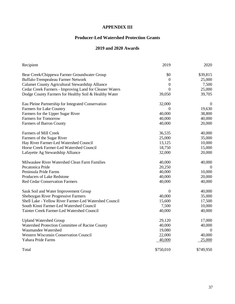## **APPENDIX III**

## **Producer-Led Watershed Protection Grants**

## **2019 and 2020 Awards**

| Recipient                                               | 2019             | 2020           |
|---------------------------------------------------------|------------------|----------------|
| Bear Creek/Chippewa Farmer Groundwater Group            | \$0              | \$39,815       |
| Buffalo-Trempealeau Farmer Network                      | $\boldsymbol{0}$ | 25,000         |
| Calumet County Agricultural Stewardship Alliance        | 0                | 7,500          |
| Cedar Creek Farmers - Improving Land for Cleaner Waters | $\theta$         | 25,000         |
| Dodge County Farmers for Healthy Soil & Healthy Water   | 39,050           | 39,705         |
| Eau Pleine Partnership for Integrated Conservation      | 32,000           | $\theta$       |
| Farmers for Lake Country                                | $\Omega$         | 19,630         |
| Farmers for the Upper Sugar River                       | 40,000           | 38,800         |
| <b>Farmers for Tomorrow</b>                             | 40,000           | 40,000         |
| Farmers of Barron County                                | 40,000           | 20,000         |
| <b>Farmers of Mill Creek</b>                            | 36,535           | 40,000         |
| Farmers of the Sugar River                              | 25,000           | 35,000         |
| Hay River Farmer-Led Watershed Council                  | 13,125           | 10,000         |
| Horse Creek Farmer-Led Watershed Council                | 18,750           | 15,000         |
| Lafayette Ag Stewardship Alliance                       | 32,000           | 20,000         |
| Milwaukee River Watershed Clean Farm Families           | 40,000           | 40,000         |
| Pecatonica Pride                                        | 20,250           | $\theta$       |
| Peninsula Pride Farms                                   | 40,000           | 10,000         |
| Producers of Lake Redstone                              | 40,000           | 20,000         |
| <b>Red Cedar Conservation Farmers</b>                   | 40,000           | 40,000         |
| Sauk Soil and Water Improvement Group                   | $\boldsymbol{0}$ | 40,000         |
| Sheboygan River Progressive Farmers                     | 40,000           | 35,000         |
| Shell Lake - Yellow River Farmer-Led Watershed Council  | 15,600           | 17,500         |
| South Kinni Farmer-Led Watershed Council                | 7,500            | 10,000         |
| Tainter Creek Farmer-Led Watershed Council              | 40,000           | 40,000         |
| <b>Upland Watershed Group</b>                           | 29,120           | 17,000         |
| Watershed Protection Committee of Racine County         | 40,000           | 40,000         |
| Waumandee Watershed                                     | 19,080           | $\overline{0}$ |
| Western Wisconsin Conservation Council                  | 22,000           | 40,000         |
| Yahara Pride Farms                                      | 40,000           | 25,000         |
| Total                                                   | \$750,010        | \$749,950      |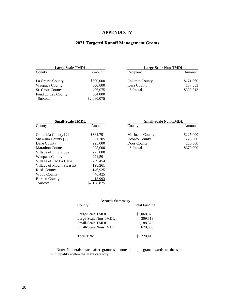## **APPENDIX IV**

## **2021 Targeted Runoff Management Grants**

| <b>Large-Scale TMDL</b> |             | Large-Scale Non-TMDL  |          |
|-------------------------|-------------|-----------------------|----------|
| County                  | Amount      | Recipient             | Amount   |
| La Crosse County        | \$600,000   | <b>Calumet County</b> | \$171,96 |
| Waupaca County          | 600,000     | <b>Iowa County</b>    | 137,55   |
| <b>St. Croix County</b> | 496,075     | Subtotal              | \$309,51 |
| Fond du Lac County      | 364,000     |                       |          |
| Subtotal                | \$2,060,075 |                       |          |

| <b>Large-Scale TMDL</b> |           |                    | Large-Scale Non-TMDL |  |
|-------------------------|-----------|--------------------|----------------------|--|
| County                  | Amount    | Recipient          | Amount               |  |
| La Crosse County        | \$600,000 | Calumet County     | \$171,960            |  |
| Waupaca County          | 600,000   | <b>Iowa County</b> | 137,553              |  |
| St. Croix County        | 496,075   | Subtotal           | \$309,513            |  |
|                         | .         |                    |                      |  |

| <b>Small-Scale TMDL</b> |                  | <b>Small-Scale Non-TMDL</b> |  |
|-------------------------|------------------|-----------------------------|--|
| Amount                  | County           | Amount                      |  |
| \$361,791               | Marinette County | \$225,00                    |  |
| 321,385                 | Oconto County    | 225,00                      |  |
| 225,000                 | Door County      | 220,00                      |  |
| 225,000                 | Subtotal         | \$670,00                    |  |
| 225,000                 |                  |                             |  |
| 221,591                 |                  |                             |  |
| 209,454                 |                  |                             |  |
| 198,261                 |                  |                             |  |
| 146,925                 |                  |                             |  |
| 40,425                  |                  |                             |  |
| 13,993                  |                  |                             |  |
| \$2,188,825             |                  |                             |  |
|                         |                  |                             |  |

| <b>Small-Scale TMDL</b> |                         | <b>Small-Scale Non-TMDL</b> |  |
|-------------------------|-------------------------|-----------------------------|--|
| Amount                  | County                  | Amount                      |  |
| \$361,791               | <b>Marinette County</b> | \$225,000                   |  |
| 321,385                 | <b>Oconto County</b>    | 225,000                     |  |
| 225,000                 | Door County             | 220,000                     |  |
| 225,000                 | Subtotal                | \$670,000                   |  |
|                         |                         |                             |  |

| <b>Awards Summary</b> |                      |  |  |
|-----------------------|----------------------|--|--|
| County                | <b>Total Funding</b> |  |  |
| Large-Scale TMDL      | \$2,060,075          |  |  |
| Large-Scale Non-TMDL  | 309,513              |  |  |
| Small-Scale TMDL      | 2,188,825            |  |  |
| Small-Scale Non-TMDL  | 670,000              |  |  |
| <b>Total TRM</b>      | \$5,228,413          |  |  |

 Note: Numerals listed after grantees denote multiple grant awards to the same municipality within the grant category.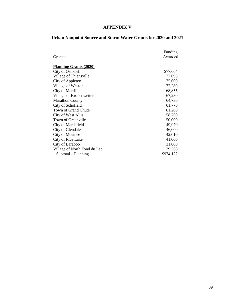## **APPENDIX V**

## **Urban Nonpoint Source and Storm Water Grants for 2020 and 2021**

|                               | Funding   |
|-------------------------------|-----------|
| Grantee                       | Awarded   |
| <b>Planning Grants (2020)</b> |           |
| City of Oshkosh               | \$77,664  |
| Village of Thiensville        | 77,093    |
| City of Appleton              | 75,000    |
| Village of Weston             | 72,280    |
| City of Merrill               | 68,855    |
| Village of Kronenwetter       | 67,230    |
| <b>Marathon County</b>        | 64,730    |
| City of Schofield             | 61,770    |
| Town of Grand Chute           | 61,200    |
| City of West Allis            | 58,760    |
| Town of Greenville            | 50,000    |
| City of Marshfield            | 49,970    |
| City of Glendale              | 46,000    |
| <b>City of Mosinee</b>        | 42,010    |
| City of Rice Lake             | 41,000    |
| City of Baraboo               | 31,000    |
| Village of North Fond du Lac  | 29,560    |
| Subtotal – Planning           | \$974,122 |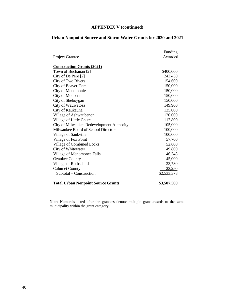## **APPENDIX V (continued)**

## **Urban Nonpoint Source and Storm Water Grants for 2020 and 2021**

|                                           | Funding     |
|-------------------------------------------|-------------|
| <b>Project Grantee</b>                    | Awarded     |
|                                           |             |
| <b>Construction Grants (2021)</b>         |             |
| Town of Buchanan [2]                      | \$400,000   |
| City of De Pere [2]                       | 242,450     |
| City of Two Rivers                        | 154,600     |
| City of Beaver Dam                        | 150,000     |
| City of Menomonie                         | 150,000     |
| City of Monona                            | 150,000     |
| City of Sheboygan                         | 150,000     |
| City of Wauwatosa                         | 149,900     |
| City of Kaukauna                          | 135,000     |
| Village of Ashwaubenon                    | 120,000     |
| Village of Little Chute                   | 117,800     |
| City of Milwaukee Redevelopment Authority | 105,000     |
| Milwaukee Board of School Directors       | 100,000     |
| Village of Saukville                      | 100,000     |
| Village of Fox Point                      | 57,700      |
| Village of Combined Locks                 | 52,800      |
| City of Whitewater                        | 49,800      |
| Village of Menomonee Falls                | 46,348      |
| <b>Ozaukee County</b>                     | 45,000      |
| Village of Rothschild                     | 33,730      |
| <b>Calumet County</b>                     | 23,250      |
| Subtotal – Construction                   | \$2,533,378 |
| <b>Total Urban Nonpoint Source Grants</b> | \$3,507,500 |

Note: Numerals listed after the grantees denote multiple grant awards to the same municipality within the grant category.